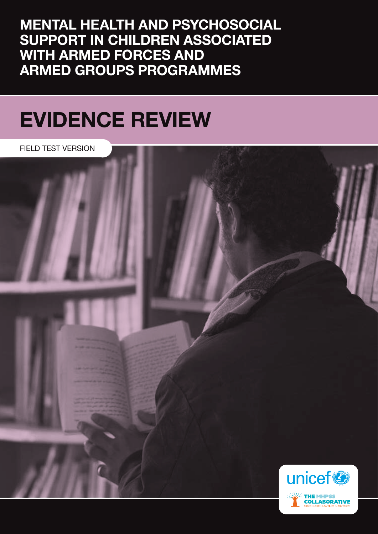MENTAL HEALTH AND PSYCHOSOCIAL SUPPORT IN CHILDREN ASSOCIATED WITH ARMED FORCES AND ARMED GROUPS PROGRAMMES

## EVIDENCE REVIEW

FIELD TEST VERSION

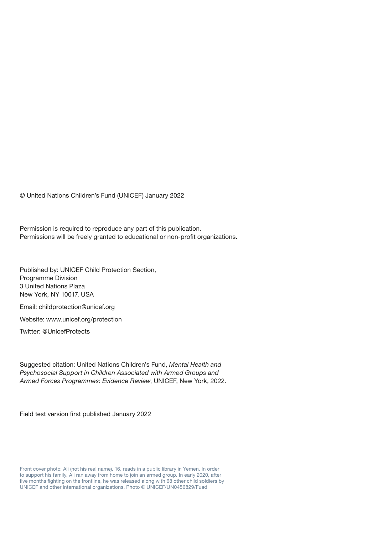© United Nations Children's Fund (UNICEF) January 2022

Permission is required to reproduce any part of this publication. Permissions will be freely granted to educational or non-profit organizations.

Published by: UNICEF Child Protection Section, Programme Division 3 United Nations Plaza New York, NY 10017, USA

Email: childprotection@unicef.org

Website: www.unicef.org/protection

Twitter: @UnicefProtects

Suggested citation: United Nations Children's Fund, *Mental Health and Psychosocial Support in Children Associated with Armed Groups and Armed Forces Programmes: Evidence Review*, UNICEF, New York, 2022.

Field test version first published January 2022

Front cover photo: Ali (not his real name), 16, reads in a public library in Yemen. In order to support his family, Ali ran away from home to join an armed group. In early 2020, after five months fighting on the frontline, he was released along with 68 other child soldiers by UNICEF and other international organizations. Photo © UNICEF/UN0456829/Fuad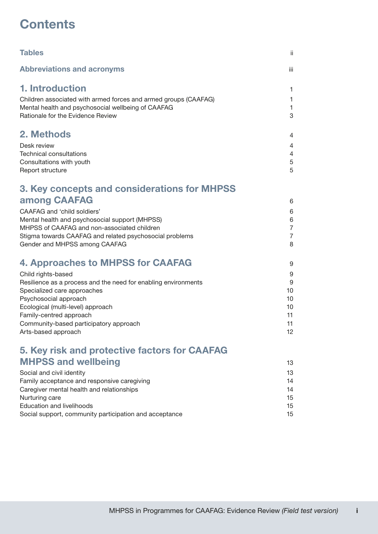## **Contents**

| <b>Tables</b>                                                   | ii.            |
|-----------------------------------------------------------------|----------------|
| <b>Abbreviations and acronyms</b>                               | iii            |
| 1. Introduction                                                 | 1              |
| Children associated with armed forces and armed groups (CAAFAG) | $\mathbf{1}$   |
| Mental health and psychosocial wellbeing of CAAFAG              | $\mathbf{1}$   |
| Rationale for the Evidence Review                               | 3              |
| 2. Methods                                                      | 4              |
| Desk review                                                     | 4              |
| <b>Technical consultations</b>                                  | 4              |
| Consultations with youth                                        | $\mathbf 5$    |
| Report structure                                                | 5              |
| 3. Key concepts and considerations for MHPSS                    |                |
| among CAAFAG                                                    | 6              |
| <b>CAAFAG</b> and 'child soldiers'                              | 6              |
| Mental health and psychosocial support (MHPSS)                  | 6              |
| MHPSS of CAAFAG and non-associated children                     | $\overline{7}$ |
| Stigma towards CAAFAG and related psychosocial problems         | $\overline{7}$ |
| Gender and MHPSS among CAAFAG                                   | 8              |
| 4. Approaches to MHPSS for CAAFAG                               | 9              |
| Child rights-based                                              | 9              |
| Resilience as a process and the need for enabling environments  | 9              |
| Specialized care approaches                                     | 10             |
| Psychosocial approach                                           | 10             |
| Ecological (multi-level) approach                               | 10             |
| Family-centred approach                                         | 11             |
| Community-based participatory approach                          | 11<br>12       |
| Arts-based approach                                             |                |
| 5. Key risk and protective factors for CAAFAG                   |                |
| <b>MHPSS and wellbeing</b>                                      | 13             |
| Social and civil identity                                       | 13             |
| Family acceptance and responsive caregiving                     | 14             |
| Caregiver mental health and relationships                       | 14             |
| Nurturing care                                                  | 15             |
| Education and livelihoods                                       | 15             |

[Social support, community participation and acceptance](#page-20-0) 15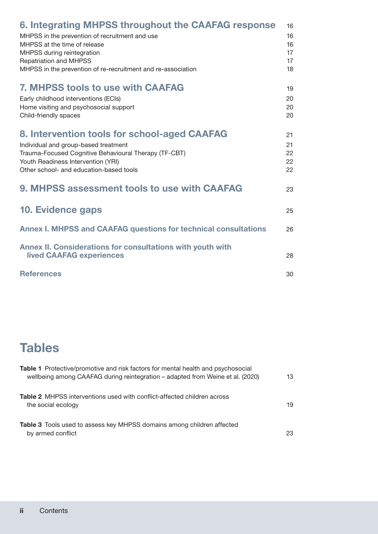<span id="page-3-0"></span>

| 6. Integrating MHPSS throughout the CAAFAG response                           | 16 |
|-------------------------------------------------------------------------------|----|
| MHPSS in the prevention of recruitment and use                                | 16 |
| MHPSS at the time of release                                                  | 16 |
| MHPSS during reintegration                                                    | 17 |
| <b>Repatriation and MHPSS</b>                                                 | 17 |
| MHPSS in the prevention of re-recruitment and re-association                  | 18 |
| <b>7. MHPSS tools to use with CAAFAG</b>                                      | 19 |
| Early childhood interventions (ECIs)                                          | 20 |
| Home visiting and psychosocial support                                        | 20 |
| Child-friendly spaces                                                         | 20 |
|                                                                               |    |
| 8. Intervention tools for school-aged CAAFAG                                  | 21 |
| Individual and group-based treatment                                          | 21 |
| Trauma-Focused Cognitive Behavioural Therapy (TF-CBT)                         | 22 |
| Youth Readiness Intervention (YRI)<br>Other school- and education-based tools | 22 |
|                                                                               | 22 |
| 9. MHPSS assessment tools to use with CAAFAG                                  | 23 |
|                                                                               |    |
| <b>10. Evidence gaps</b>                                                      | 25 |
|                                                                               |    |
| <b>Annex I. MHPSS and CAAFAG questions for technical consultations</b>        | 26 |
| Annex II. Considerations for consultations with youth with                    |    |
| <b>lived CAAFAG experiences</b>                                               | 28 |
| <b>References</b>                                                             | 30 |
|                                                                               |    |

## **Tables**

| <b>Table 1</b> Protective/promotive and risk factors for mental health and psychosocial<br>wellbeing among CAAFAG during reintegration - adapted from Weine et al. (2020) | 13 |
|---------------------------------------------------------------------------------------------------------------------------------------------------------------------------|----|
| <b>Table 2</b> MHPSS interventions used with conflict-affected children across<br>the social ecology                                                                      | 19 |
| <b>Table 3</b> Tools used to assess key MHPSS domains among children affected<br>by armed conflict                                                                        | 23 |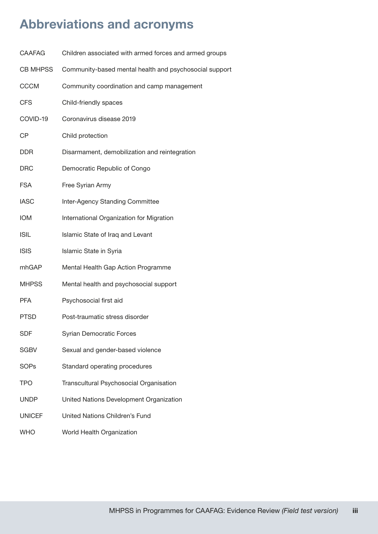## <span id="page-4-0"></span>Abbreviations and acronyms

| <b>CAAFAG</b>   | Children associated with armed forces and armed groups |
|-----------------|--------------------------------------------------------|
| <b>CB MHPSS</b> | Community-based mental health and psychosocial support |
| <b>CCCM</b>     | Community coordination and camp management             |
| <b>CFS</b>      | Child-friendly spaces                                  |
| COVID-19        | Coronavirus disease 2019                               |
| СP              | Child protection                                       |
| DDR.            | Disarmament, demobilization and reintegration          |
| <b>DRC</b>      | Democratic Republic of Congo                           |
| <b>FSA</b>      | Free Syrian Army                                       |
| <b>IASC</b>     | Inter-Agency Standing Committee                        |
| <b>IOM</b>      | International Organization for Migration               |
| <b>ISIL</b>     | Islamic State of Iraq and Levant                       |
| <b>ISIS</b>     | Islamic State in Syria                                 |
| mhGAP           | Mental Health Gap Action Programme                     |
| <b>MHPSS</b>    | Mental health and psychosocial support                 |
| <b>PFA</b>      | Psychosocial first aid                                 |
| <b>PTSD</b>     | Post-traumatic stress disorder                         |
| <b>SDF</b>      | <b>Syrian Democratic Forces</b>                        |
| <b>SGBV</b>     | Sexual and gender-based violence                       |
| <b>SOPs</b>     | Standard operating procedures                          |
| <b>TPO</b>      | Transcultural Psychosocial Organisation                |
| UNDP            | United Nations Development Organization                |
| <b>UNICEF</b>   | United Nations Children's Fund                         |
| <b>WHO</b>      | World Health Organization                              |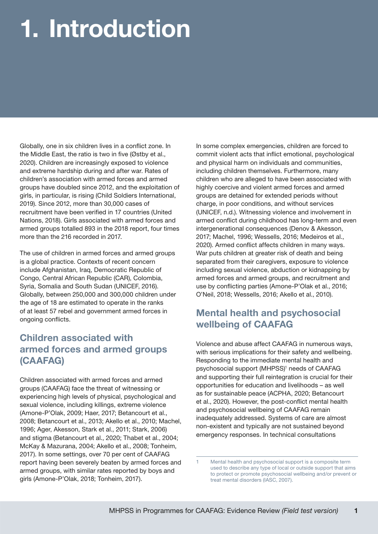# <span id="page-6-0"></span>1. Introduction

Globally, one in six children lives in a conflict zone. In the Middle East, the ratio is two in five (Østby et al., 2020). Children are increasingly exposed to violence and extreme hardship during and after war. Rates of children's association with armed forces and armed groups have doubled since 2012, and the exploitation of girls, in particular, is rising (Child Soldiers International, 2019). Since 2012, more than 30,000 cases of recruitment have been verified in 17 countries (United Nations, 2018). Girls associated with armed forces and armed groups totalled 893 in the 2018 report, four times more than the 216 recorded in 2017.

The use of children in armed forces and armed groups is a global practice. Contexts of recent concern include Afghanistan, Iraq, Democratic Republic of Congo, Central African Republic (CAR), Colombia, Syria, Somalia and South Sudan (UNICEF, 2016). Globally, between 250,000 and 300,000 children under the age of 18 are estimated to operate in the ranks of at least 57 rebel and government armed forces in ongoing conflicts.

#### Children associated with armed forces and armed groups (CAAFAG)

Children associated with armed forces and armed groups (CAAFAG) face the threat of witnessing or experiencing high levels of physical, psychological and sexual violence, including killings, extreme violence (Amone-P'Olak, 2009; Haer, 2017; Betancourt et al., 2008; Betancourt et al., 2013; Akello et al., 2010; Machel, 1996; Ager, Akesson, Stark et al., 2011; Stark, 2006) and stigma (Betancourt et al., 2020; Thabet et al., 2004; McKay & Mazurana, 2004; Akello et al., 2008; Tonheim, 2017). In some settings, over 70 per cent of CAAFAG report having been severely beaten by armed forces and armed groups, with similar rates reported by boys and girls (Amone-P'Olak, 2018; Tonheim, 2017).

In some complex emergencies, children are forced to commit violent acts that inflict emotional, psychological and physical harm on individuals and communities, including children themselves. Furthermore, many children who are alleged to have been associated with highly coercive and violent armed forces and armed groups are detained for extended periods without charge, in poor conditions, and without services (UNICEF, n.d.). Witnessing violence and involvement in armed conflict during childhood has long-term and even intergenerational consequences (Denov & Akesson, 2017; Machel, 1996; Wessells, 2016; Medeiros et al., 2020). Armed conflict affects children in many ways. War puts children at greater risk of death and being separated from their caregivers, exposure to violence including sexual violence, abduction or kidnapping by armed forces and armed groups, and recruitment and use by conflicting parties (Amone-P'Olak et al., 2016; O'Neil, 2018; Wessells, 2016; Akello et al., 2010).

### Mental health and psychosocial wellbeing of CAAFAG

Violence and abuse affect CAAFAG in numerous ways, with serious implications for their safety and wellbeing. Responding to the immediate mental health and psychosocial support (MHPSS)<sup>1</sup> needs of CAAFAG and supporting their full reintegration is crucial for their opportunities for education and livelihoods – as well as for sustainable peace (ACPHA, 2020; Betancourt et al., 2020). However, the post-conflict mental health and psychosocial wellbeing of CAAFAG remain inadequately addressed. Systems of care are almost non-existent and typically are not sustained beyond emergency responses. In technical consultations

Mental health and psychosocial support is a composite term used to describe any type of local or outside support that aims to protect or promote psychosocial wellbeing and/or prevent or treat mental disorders (IASC, 2007).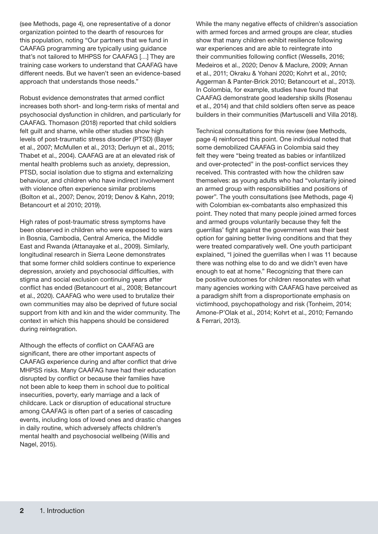(see Methods, page 4), one representative of a donor organization pointed to the dearth of resources for this population, noting "Our partners that we fund in CAAFAG programming are typically using guidance that's not tailored to MHPSS for CAAFAG […] They are training case workers to understand that CAAFAG have different needs. But we haven't seen an evidence-based approach that understands those needs."

Robust evidence demonstrates that armed conflict increases both short- and long-term risks of mental and psychosocial dysfunction in children, and particularly for CAAFAG. Thomason (2018) reported that child soldiers felt guilt and shame, while other studies show high levels of post-traumatic stress disorder (PTSD) (Bayer et al., 2007; McMullen et al., 2013; Derluyn et al., 2015; Thabet et al., 2004). CAAFAG are at an elevated risk of mental health problems such as anxiety, depression, PTSD, social isolation due to stigma and externalizing behaviour, and children who have indirect involvement with violence often experience similar problems (Bolton et al., 2007; Denov, 2019; Denov & Kahn, 2019; Betancourt et al 2010; 2019).

High rates of post-traumatic stress symptoms have been observed in children who were exposed to wars in Bosnia, Cambodia, Central America, the Middle East and Rwanda (Attanayake et al., 2009). Similarly, longitudinal research in Sierra Leone demonstrates that some former child soldiers continue to experience depression, anxiety and psychosocial difficulties, with stigma and social exclusion continuing years after conflict has ended (Betancourt et al., 2008; Betancourt et al., 2020). CAAFAG who were used to brutalize their own communities may also be deprived of future social support from kith and kin and the wider community. The context in which this happens should be considered during reintegration.

Although the effects of conflict on CAAFAG are significant, there are other important aspects of CAAFAG experience during and after conflict that drive MHPSS risks. Many CAAFAG have had their education disrupted by conflict or because their families have not been able to keep them in school due to political insecurities, poverty, early marriage and a lack of childcare. Lack or disruption of educational structure among CAAFAG is often part of a series of cascading events, including loss of loved ones and drastic changes in daily routine, which adversely affects children's mental health and psychosocial wellbeing (Willis and Nagel, 2015).

While the many negative effects of children's association with armed forces and armed groups are clear, studies show that many children exhibit resilience following war experiences and are able to reintegrate into their communities following conflict (Wessells, 2016; Medeiros et al., 2020; Denov & Maclure, 2009; Annan et al., 2011; Okraku & Yohani 2020; Kohrt et al., 2010; Aggerman & Panter-Brick 2010; Betancourt et al., 2013). In Colombia, for example, studies have found that CAAFAG demonstrate good leadership skills (Rosenau et al., 2014) and that child soldiers often serve as peace builders in their communities (Martuscelli and Villa 2018).

Technical consultations for this review (see Methods, page 4) reinforced this point. One individual noted that some demobilized CAAFAG in Colombia said they felt they were "being treated as babies or infantilized and over-protected" in the post-conflict services they received. This contrasted with how the children saw themselves: as young adults who had "voluntarily joined an armed group with responsibilities and positions of power". The youth consultations (see Methods, page 4) with Colombian ex-combatants also emphasized this point. They noted that many people joined armed forces and armed groups voluntarily because they felt the guerrillas' fight against the government was their best option for gaining better living conditions and that they were treated comparatively well. One youth participant explained, "I joined the guerrillas when I was 11 because there was nothing else to do and we didn't even have enough to eat at home." Recognizing that there can be positive outcomes for children resonates with what many agencies working with CAAFAG have perceived as a paradigm shift from a disproportionate emphasis on victimhood, psychopathology and risk (Tonheim, 2014; Amone-P'Olak et al., 2014; Kohrt et al., 2010; Fernando & Ferrari, 2013).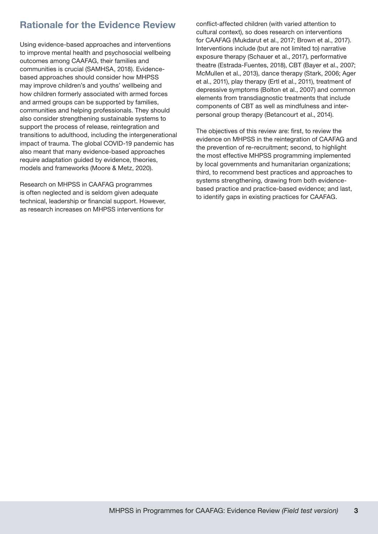### <span id="page-8-0"></span>Rationale for the Evidence Review

Using evidence-based approaches and interventions to improve mental health and psychosocial wellbeing outcomes among CAAFAG, their families and communities is crucial (SAMHSA, 2018). Evidencebased approaches should consider how MHPSS may improve children's and youths' wellbeing and how children formerly associated with armed forces and armed groups can be supported by families, communities and helping professionals. They should also consider strengthening sustainable systems to support the process of release, reintegration and transitions to adulthood, including the intergenerational impact of trauma. The global COVID-19 pandemic has also meant that many evidence-based approaches require adaptation guided by evidence, theories, models and frameworks (Moore & Metz, 2020).

Research on MHPSS in CAAFAG programmes is often neglected and is seldom given adequate technical, leadership or financial support. However, as research increases on MHPSS interventions for

conflict-affected children (with varied attention to cultural context), so does research on interventions for CAAFAG (Mukdarut et al., 2017; Brown et al., 2017). Interventions include (but are not limited to) narrative exposure therapy (Schauer et al., 2017), performative theatre (Estrada-Fuentes, 2018), CBT (Bayer et al., 2007; McMullen et al., 2013), dance therapy (Stark, 2006; Ager et al., 2011), play therapy (Ertl et al., 2011), treatment of depressive symptoms (Bolton et al., 2007) and common elements from transdiagnostic treatments that include components of CBT as well as mindfulness and interpersonal group therapy (Betancourt et al., 2014).

The objectives of this review are: first, to review the evidence on MHPSS in the reintegration of CAAFAG and the prevention of re-recruitment; second, to highlight the most effective MHPSS programming implemented by local governments and humanitarian organizations; third, to recommend best practices and approaches to systems strengthening, drawing from both evidencebased practice and practice-based evidence; and last, to identify gaps in existing practices for CAAFAG.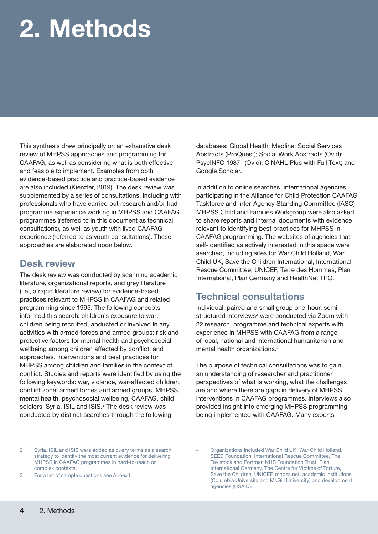# <span id="page-9-0"></span>2. Methods

This synthesis drew principally on an exhaustive desk review of MHPSS approaches and programming for CAAFAG, as well as considering what is both effective and feasible to implement. Examples from both evidence-based practice and practice-based evidence are also included (Kienzler, 2019). The desk review was supplemented by a series of consultations, including with professionals who have carried out research and/or had programme experience working in MHPSS and CAAFAG programmes (referred to in this document as technical consultations), as well as youth with lived CAAFAG experience (referred to as youth consultations). These approaches are elaborated upon below.

#### Desk review

The desk review was conducted by scanning academic literature, organizational reports, and grey literature (i.e., a rapid literature review) for evidence-based practices relevant to MHPSS in CAAFAG and related programming since 1995. The following concepts informed this search: children's exposure to war; children being recruited, abducted or involved in any activities with armed forces and armed groups; risk and protective factors for mental health and psychosocial wellbeing among children affected by conflict; and approaches, interventions and best practices for MHPSS among children and families in the context of conflict. Studies and reports were identified by using the following keywords: war, violence, war-affected children, conflict zone, armed forces and armed groups, MHPSS, mental health, psychosocial wellbeing, CAAFAG, child soldiers, Syria, ISIL and ISIS.<sup>2</sup> The desk review was conducted by distinct searches through the following

databases: Global Health; Medline; Social Services Abstracts (ProQuest); Social Work Abstracts (Ovid); PsycINFO 1987– (Ovid); CINAHL Plus with Full Text; and Google Scholar.

In addition to online searches, international agencies participating in the Alliance for Child Protection CAAFAG Taskforce and Inter-Agency Standing Committee (IASC) MHPSS Child and Families Workgroup were also asked to share reports and internal documents with evidence relevant to identifying best practices for MHPSS in CAAFAG programming. The websites of agencies that self-identified as actively interested in this space were searched, including sites for War Child Holland, War Child UK, Save the Children International, International Rescue Committee, UNICEF, Terre des Hommes, Plan International, Plan Germany and HealthNet TPO.

#### Technical consultations

Individual, paired and small group one-hour, semistructured interviews<sup>3</sup> were conducted via Zoom with 22 research, programme and technical experts with experience in MHPSS with CAAFAG from a range of local, national and international humanitarian and mental health organizations.4

The purpose of technical consultations was to gain an understanding of researcher and practitioner perspectives of what is working, what the challenges are and where there are gaps in delivery of MHPSS interventions in CAAFAG programmes. Interviews also provided insight into emerging MHPSS programming being implemented with CAAFAG. Many experts

- 2 Syria, ISIL and ISIS were added as query terms as a search strategy to identify the most current evidence for delivering MHPSS in CAAFAG programmes in hard-to-reach or complex contexts.
- 3 For a list of sample questions see Annex I.

4 Organizations included War Child UK, War Child Holland, SEED Foundation, International Rescue Committee, The Tavistock and Portman NHS Foundation Trust, Plan International Germany, The Centre for Victims of Torture, Save the Children, UNICEF, mhpss.net, academic institutions (Columbia University and McGill University) and development agencies (USAID).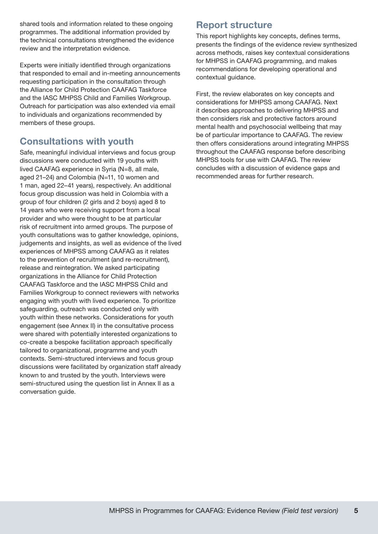<span id="page-10-0"></span>shared tools and information related to these ongoing programmes. The additional information provided by the technical consultations strengthened the evidence review and the interpretation evidence.

Experts were initially identified through organizations that responded to email and in-meeting announcements requesting participation in the consultation through the Alliance for Child Protection CAAFAG Taskforce and the IASC MHPSS Child and Families Workgroup. Outreach for participation was also extended via email to individuals and organizations recommended by members of these groups.

#### Consultations with youth

Safe, meaningful individual interviews and focus group discussions were conducted with 19 youths with lived CAAFAG experience in Syria (N=8, all male, aged 21–24) and Colombia (N=11, 10 women and 1 man, aged 22–41 years), respectively. An additional focus group discussion was held in Colombia with a group of four children (2 girls and 2 boys) aged 8 to 14 years who were receiving support from a local provider and who were thought to be at particular risk of recruitment into armed groups. The purpose of youth consultations was to gather knowledge, opinions, judgements and insights, as well as evidence of the lived experiences of MHPSS among CAAFAG as it relates to the prevention of recruitment (and re-recruitment), release and reintegration. We asked participating organizations in the Alliance for Child Protection CAAFAG Taskforce and the IASC MHPSS Child and Families Workgroup to connect reviewers with networks engaging with youth with lived experience. To prioritize safeguarding, outreach was conducted only with youth within these networks. Considerations for youth engagement (see Annex II) in the consultative process were shared with potentially interested organizations to co-create a bespoke facilitation approach specifically tailored to organizational, programme and youth contexts. Semi-structured interviews and focus group discussions were facilitated by organization staff already known to and trusted by the youth. Interviews were semi-structured using the question list in Annex II as a conversation guide.

#### Report structure

This report highlights key concepts, defines terms, presents the findings of the evidence review synthesized across methods, raises key contextual considerations for MHPSS in CAAFAG programming, and makes recommendations for developing operational and contextual guidance.

First, the review elaborates on key concepts and considerations for MHPSS among CAAFAG. Next it describes approaches to delivering MHPSS and then considers risk and protective factors around mental health and psychosocial wellbeing that may be of particular importance to CAAFAG. The review then offers considerations around integrating MHPSS throughout the CAAFAG response before describing MHPSS tools for use with CAAFAG. The review concludes with a discussion of evidence gaps and recommended areas for further research.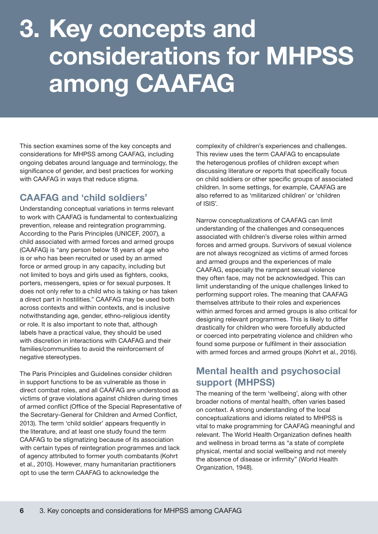# <span id="page-11-0"></span>3. Key concepts and considerations for MHPSS among CAAFAG

This section examines some of the key concepts and considerations for MHPSS among CAAFAG, including ongoing debates around language and terminology, the significance of gender, and best practices for working with CAAFAG in ways that reduce stigma.

### CAAFAG and 'child soldiers'

Understanding conceptual variations in terms relevant to work with CAAFAG is fundamental to contextualizing prevention, release and reintegration programming. According to the Paris Principles (UNICEF, 2007), a child associated with armed forces and armed groups (CAAFAG) is "any person below 18 years of age who is or who has been recruited or used by an armed force or armed group in any capacity, including but not limited to boys and girls used as fighters, cooks, porters, messengers, spies or for sexual purposes. It does not only refer to a child who is taking or has taken a direct part in hostilities." CAAFAG may be used both across contexts and within contexts, and is inclusive notwithstanding age, gender, ethno-religious identity or role. It is also important to note that, although labels have a practical value, they should be used with discretion in interactions with CAAFAG and their families/communities to avoid the reinforcement of negative stereotypes.

The Paris Principles and Guidelines consider children in support functions to be as vulnerable as those in direct combat roles, and all CAAFAG are understood as victims of grave violations against children during times of armed conflict (Office of the Special Representative of the Secretary-General for Children and Armed Conflict, 2013). The term 'child soldier' appears frequently in the literature, and at least one study found the term CAAFAG to be stigmatizing because of its association with certain types of reintegration programmes and lack of agency attributed to former youth combatants (Kohrt et al., 2010). However, many humanitarian practitioners opt to use the term CAAFAG to acknowledge the

complexity of children's experiences and challenges. This review uses the term CAAFAG to encapsulate the heterogenous profiles of children except when discussing literature or reports that specifically focus on child soldiers or other specific groups of associated children. In some settings, for example, CAAFAG are also referred to as 'militarized children' or 'children of ISIS'.

Narrow conceptualizations of CAAFAG can limit understanding of the challenges and consequences associated with children's diverse roles within armed forces and armed groups. Survivors of sexual violence are not always recognized as victims of armed forces and armed groups and the experiences of male CAAFAG, especially the rampant sexual violence they often face, may not be acknowledged. This can limit understanding of the unique challenges linked to performing support roles. The meaning that CAAFAG themselves attribute to their roles and experiences within armed forces and armed groups is also critical for designing relevant programmes. This is likely to differ drastically for children who were forcefully abducted or coerced into perpetrating violence and children who found some purpose or fulfilment in their association with armed forces and armed groups (Kohrt et al., 2016).

#### Mental health and psychosocial support (MHPSS)

The meaning of the term 'wellbeing', along with other broader notions of mental health, often varies based on context. A strong understanding of the local conceptualizations and idioms related to MHPSS is vital to make programming for CAAFAG meaningful and relevant. The World Health Organization defines health and wellness in broad terms as "a state of complete physical, mental and social wellbeing and not merely the absence of disease or infirmity" (World Health Organization, 1948).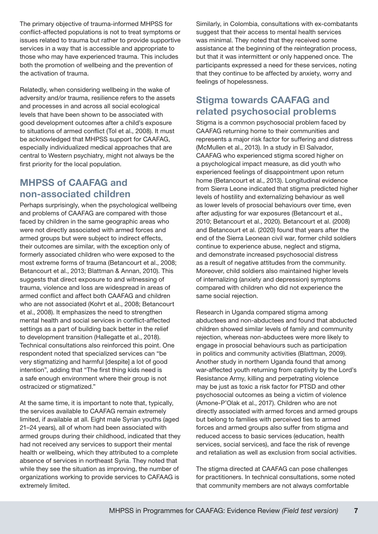<span id="page-12-0"></span>The primary objective of trauma-informed MHPSS for conflict-affected populations is not to treat symptoms or issues related to trauma but rather to provide supportive services in a way that is accessible and appropriate to those who may have experienced trauma. This includes both the promotion of wellbeing and the prevention of the activation of trauma.

Relatedly, when considering wellbeing in the wake of adversity and/or trauma, resilience refers to the assets and processes in and across all social ecological levels that have been shown to be associated with good development outcomes after a child's exposure to situations of armed conflict (Tol et al., 2008). It must be acknowledged that MHPSS support for CAAFAG, especially individualized medical approaches that are central to Western psychiatry, might not always be the first priority for the local population.

#### MHPSS of CAAFAG and non-associated children

Perhaps surprisingly, when the psychological wellbeing and problems of CAAFAG are compared with those faced by children in the same geographic areas who were not directly associated with armed forces and armed groups but were subject to indirect effects, their outcomes are similar, with the exception only of formerly associated children who were exposed to the most extreme forms of trauma (Betancourt et al., 2008; Betancourt et al., 2013; Blattman & Annan, 2010). This suggests that direct exposure to and witnessing of trauma, violence and loss are widespread in areas of armed conflict and affect both CAAFAG and children who are not associated (Kohrt et al., 2008; Betancourt et al., 2008). It emphasizes the need to strengthen mental health and social services in conflict-affected settings as a part of building back better in the relief to development transition (Hallegatte et al., 2018). Technical consultations also reinforced this point. One respondent noted that specialized services can "be very stigmatizing and harmful [despite] a lot of good intention", adding that "The first thing kids need is a safe enough environment where their group is not ostracized or stigmatized."

At the same time, it is important to note that, typically, the services available to CAAFAG remain extremely limited, if available at all. Eight male Syrian youths (aged 21–24 years), all of whom had been associated with armed groups during their childhood, indicated that they had not received any services to support their mental health or wellbeing, which they attributed to a complete absence of services in northeast Syria. They noted that while they see the situation as improving, the number of organizations working to provide services to CAFAAG is extremely limited.

Similarly, in Colombia, consultations with ex-combatants suggest that their access to mental health services was minimal. They noted that they received some assistance at the beginning of the reintegration process, but that it was intermittent or only happened once. The participants expressed a need for these services, noting that they continue to be affected by anxiety, worry and feelings of hopelessness.

#### Stigma towards CAAFAG and related psychosocial problems

Stigma is a common psychosocial problem faced by CAAFAG returning home to their communities and represents a major risk factor for suffering and distress (McMullen et al., 2013). In a study in El Salvador, CAAFAG who experienced stigma scored higher on a psychological impact measure, as did youth who experienced feelings of disappointment upon return home (Betancourt et al., 2013). Longitudinal evidence from Sierra Leone indicated that stigma predicted higher levels of hostility and externalizing behaviour as well as lower levels of prosocial behaviours over time, even after adjusting for war exposures (Betancourt et al., 2010; Betancourt et al., 2020). Betancourt et al. (2008) and Betancourt et al. (2020) found that years after the end of the Sierra Leonean civil war, former child soldiers continue to experience abuse, neglect and stigma, and demonstrate increased psychosocial distress as a result of negative attitudes from the community. Moreover, child soldiers also maintained higher levels of internalizing (anxiety and depression) symptoms compared with children who did not experience the same social rejection.

Research in Uganda compared stigma among abductees and non-abductees and found that abducted children showed similar levels of family and community rejection, whereas non-abductees were more likely to engage in prosocial behaviours such as participation in politics and community activities (Blattman, 2009). Another study in northern Uganda found that among war-affected youth returning from captivity by the Lord's Resistance Army, killing and perpetrating violence may be just as toxic a risk factor for PTSD and other psychosocial outcomes as being a victim of violence (Amone-P'Olak et al., 2017). Children who are not directly associated with armed forces and armed groups but belong to families with perceived ties to armed forces and armed groups also suffer from stigma and reduced access to basic services (education, health services, social services), and face the risk of revenge and retaliation as well as exclusion from social activities.

The stigma directed at CAAFAG can pose challenges for practitioners. In technical consultations, some noted that community members are not always comfortable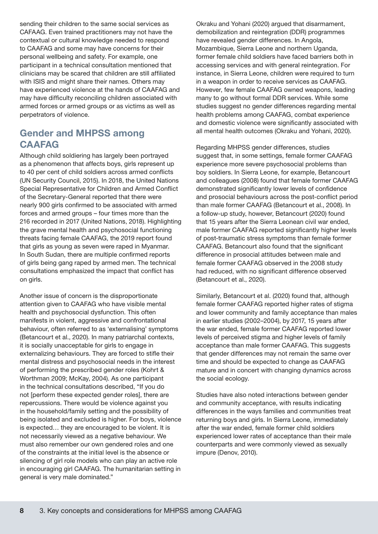<span id="page-13-0"></span>sending their children to the same social services as CAFAAG. Even trained practitioners may not have the contextual or cultural knowledge needed to respond to CAAFAG and some may have concerns for their personal wellbeing and safety. For example, one participant in a technical consultation mentioned that clinicians may be scared that children are still affiliated with ISIS and might share their names. Others may have experienced violence at the hands of CAAFAG and may have difficulty reconciling children associated with armed forces or armed groups or as victims as well as perpetrators of violence.

#### Gender and MHPSS among **CAAFAG**

Although child soldiering has largely been portrayed as a phenomenon that affects boys, girls represent up to 40 per cent of child soldiers across armed conflicts (UN Security Council, 2015). In 2018, the United Nations Special Representative for Children and Armed Conflict of the Secretary-General reported that there were nearly 900 girls confirmed to be associated with armed forces and armed groups – four times more than the 216 recorded in 2017 (United Nations, 2018). Highlighting the grave mental health and psychosocial functioning threats facing female CAAFAG, the 2019 report found that girls as young as seven were raped in Myanmar. In South Sudan, there are multiple confirmed reports of girls being gang raped by armed men. The technical consultations emphasized the impact that conflict has on girls.

Another issue of concern is the disproportionate attention given to CAAFAG who have visible mental health and psychosocial dysfunction. This often manifests in violent, aggressive and confrontational behaviour, often referred to as 'externalising' symptoms (Betancourt et al., 2020). In many patriarchal contexts, it is socially unacceptable for girls to engage in externalizing behaviours. They are forced to stifle their mental distress and psychosocial needs in the interest of performing the prescribed gender roles (Kohrt & Worthman 2009; McKay, 2004). As one participant in the technical consultations described, "If you do not [perform these expected gender roles], there are repercussions. There would be violence against you in the household/family setting and the possibility of being isolated and excluded is higher. For boys, violence is expected… they are encouraged to be violent. It is not necessarily viewed as a negative behaviour. We must also remember our own gendered roles and one of the constraints at the initial level is the absence or silencing of girl role models who can play an active role in encouraging girl CAAFAG. The humanitarian setting in general is very male dominated."

Okraku and Yohani (2020) argued that disarmament, demobilization and reintegration (DDR) programmes have revealed gender differences. In Angola, Mozambique, Sierra Leone and northern Uganda, former female child soldiers have faced barriers both in accessing services and with general reintegration. For instance, in Sierra Leone, children were required to turn in a weapon in order to receive services as CAAFAG. However, few female CAAFAG owned weapons, leading many to go without formal DDR services. While some studies suggest no gender differences regarding mental health problems among CAAFAG, combat experience and domestic violence were significantly associated with all mental health outcomes (Okraku and Yohani, 2020).

Regarding MHPSS gender differences, studies suggest that, in some settings, female former CAAFAG experience more severe psychosocial problems than boy soldiers. In Sierra Leone, for example, Betancourt and colleagues (2008) found that female former CAAFAG demonstrated significantly lower levels of confidence and prosocial behaviours across the post-conflict period than male former CAAFAG (Betancourt et al., 2008). In a follow-up study, however, Betancourt (2020) found that 15 years after the Sierra Leonean civil war ended, male former CAAFAG reported significantly higher levels of post-traumatic stress symptoms than female former CAAFAG. Betancourt also found that the significant difference in prosocial attitudes between male and female former CAAFAG observed in the 2008 study had reduced, with no significant difference observed (Betancourt et al., 2020).

Similarly, Betancourt et al. (2020) found that, although female former CAAFAG reported higher rates of stigma and lower community and family acceptance than males in earlier studies (2002–2004), by 2017, 15 years after the war ended, female former CAAFAG reported lower levels of perceived stigma and higher levels of family acceptance than male former CAAFAG. This suggests that gender differences may not remain the same over time and should be expected to change as CAAFAG mature and in concert with changing dynamics across the social ecology.

Studies have also noted interactions between gender and community acceptance, with results indicating differences in the ways families and communities treat returning boys and girls. In Sierra Leone, immediately after the war ended, female former child soldiers experienced lower rates of acceptance than their male counterparts and were commonly viewed as sexually impure (Denov, 2010).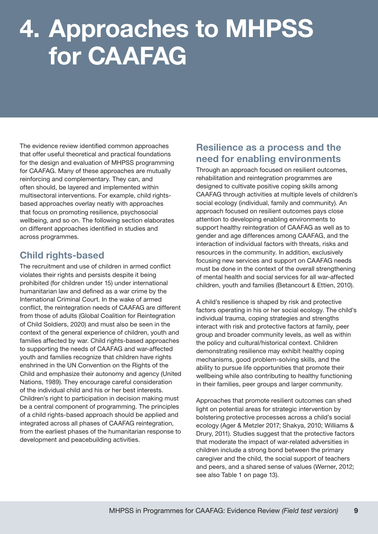## <span id="page-14-0"></span>4. Approaches to MHPSS for CAAFAG

The evidence review identified common approaches that offer useful theoretical and practical foundations for the design and evaluation of MHPSS programming for CAAFAG. Many of these approaches are mutually reinforcing and complementary. They can, and often should, be layered and implemented within multisectoral interventions. For example, child rightsbased approaches overlay neatly with approaches that focus on promoting resilience, psychosocial wellbeing, and so on. The following section elaborates on different approaches identified in studies and across programmes.

#### Child rights-based

The recruitment and use of children in armed conflict violates their rights and persists despite it being prohibited (for children under 15) under international humanitarian law and defined as a war crime by the International Criminal Court. In the wake of armed conflict, the reintegration needs of CAAFAG are different from those of adults (Global Coalition for Reintegration of Child Soldiers, 2020) and must also be seen in the context of the general experience of children, youth and families affected by war. Child rights-based approaches to supporting the needs of CAAFAG and war-affected youth and families recognize that children have rights enshrined in the UN Convention on the Rights of the Child and emphasize their autonomy and agency (United Nations, 1989). They encourage careful consideration of the individual child and his or her best interests. Children's right to participation in decision making must be a central component of programming. The principles of a child rights-based approach should be applied and integrated across all phases of CAAFAG reintegration, from the earliest phases of the humanitarian response to development and peacebuilding activities.

#### Resilience as a process and the need for enabling environments

Through an approach focused on resilient outcomes, rehabilitation and reintegration programmes are designed to cultivate positive coping skills among CAAFAG through activities at multiple levels of children's social ecology (individual, family and community). An approach focused on resilient outcomes pays close attention to developing enabling environments to support healthy reintegration of CAAFAG as well as to gender and age differences among CAAFAG, and the interaction of individual factors with threats, risks and resources in the community. In addition, exclusively focusing new services and support on CAAFAG needs must be done in the context of the overall strengthening of mental health and social services for all war-affected children, youth and families (Betancourt & Ettien, 2010).

A child's resilience is shaped by risk and protective factors operating in his or her social ecology. The child's individual trauma, coping strategies and strengths interact with risk and protective factors at family, peer group and broader community levels, as well as within the policy and cultural/historical context. Children demonstrating resilience may exhibit healthy coping mechanisms, good problem-solving skills, and the ability to pursue life opportunities that promote their wellbeing while also contributing to healthy functioning in their families, peer groups and larger community.

Approaches that promote resilient outcomes can shed light on potential areas for strategic intervention by bolstering protective processes across a child's social ecology (Ager & Metzler 2017; Shakya, 2010; Williams & Drury, 2011). Studies suggest that the protective factors that moderate the impact of war-related adversities in children include a strong bond between the primary caregiver and the child, the social support of teachers and peers, and a shared sense of values (Werner, 2012; see also Table 1 on page 13).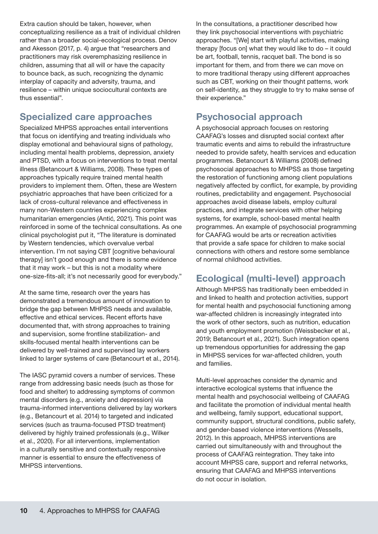<span id="page-15-0"></span>Extra caution should be taken, however, when conceptualizing resilience as a trait of individual children rather than a broader social-ecological process. Denov and Akesson (2017, p. 4) argue that "researchers and practitioners may risk overemphasizing resilience in children, assuming that all will or have the capacity to bounce back, as such, recognizing the dynamic interplay of capacity and adversity, trauma, and resilience – within unique sociocultural contexts are thus essential".

#### Specialized care approaches

Specialized MHPSS approaches entail interventions that focus on identifying and treating individuals who display emotional and behavioural signs of pathology, including mental health problems, depression, anxiety and PTSD, with a focus on interventions to treat mental illness (Betancourt & Williams, 2008). These types of approaches typically require trained mental health providers to implement them. Often, these are Western psychiatric approaches that have been criticized for a lack of cross-cultural relevance and effectiveness in many non-Western countries experiencing complex humanitarian emergencies (Antić, 2021). This point was reinforced in some of the technical consultations. As one clinical psychologist put it, "The literature is dominated by Western tendencies, which overvalue verbal intervention. I'm not saying CBT [cognitive behavioural therapy] isn't good enough and there is some evidence that it may work – but this is not a modality where one-size-fits-all; it's not necessarily good for everybody."

At the same time, research over the years has demonstrated a tremendous amount of innovation to bridge the gap between MHPSS needs and available, effective and ethical services. Recent efforts have documented that, with strong approaches to training and supervision, some frontline stabilization- and skills-focused mental health interventions can be delivered by well-trained and supervised lay workers linked to larger systems of care (Betancourt et al., 2014).

The IASC pyramid covers a number of services. These range from addressing basic needs (such as those for food and shelter) to addressing symptoms of common mental disorders (e.g., anxiety and depression) via trauma-informed interventions delivered by lay workers (e.g., Betancourt et al. 2014) to targeted and indicated services (such as trauma-focused PTSD treatment) delivered by highly trained professionals (e.g., Wilker et al., 2020). For all interventions, implementation in a culturally sensitive and contextually responsive manner is essential to ensure the effectiveness of MHPSS interventions.

In the consultations, a practitioner described how they link psychosocial interventions with psychiatric approaches. "[We] start with playful activities, making therapy [focus on] what they would like to do – it could be art, football, tennis, racquet ball. The bond is so important for them, and from there we can move on to more traditional therapy using different approaches such as CBT, working on their thought patterns, work on self-identity, as they struggle to try to make sense of their experience."

#### Psychosocial approach

A psychosocial approach focuses on restoring CAAFAG's losses and disrupted social context after traumatic events and aims to rebuild the infrastructure needed to provide safety, health services and education programmes. Betancourt & Williams (2008) defined psychosocial approaches to MHPSS as those targeting the restoration of functioning among client populations negatively affected by conflict, for example, by providing routines, predictability and engagement. Psychosocial approaches avoid disease labels, employ cultural practices, and integrate services with other helping systems, for example, school-based mental health programmes. An example of psychosocial programming for CAAFAG would be arts or recreation activities that provide a safe space for children to make social connections with others and restore some semblance of normal childhood activities.

#### Ecological (multi-level) approach

Although MHPSS has traditionally been embedded in and linked to health and protection activities, support for mental health and psychosocial functioning among war-affected children is increasingly integrated into the work of other sectors, such as nutrition, education and youth employment promotion (Weissbecker et al., 2019; Betancourt et al., 2021). Such integration opens up tremendous opportunities for addressing the gap in MHPSS services for war-affected children, youth and families.

Multi-level approaches consider the dynamic and interactive ecological systems that influence the mental health and psychosocial wellbeing of CAAFAG and facilitate the promotion of individual mental health and wellbeing, family support, educational support, community support, structural conditions, public safety, and gender-based violence interventions (Wessells, 2012). In this approach, MHPSS interventions are carried out simultaneously with and throughout the process of CAAFAG reintegration. They take into account MHPSS care, support and referral networks, ensuring that CAAFAG and MHPSS interventions do not occur in isolation.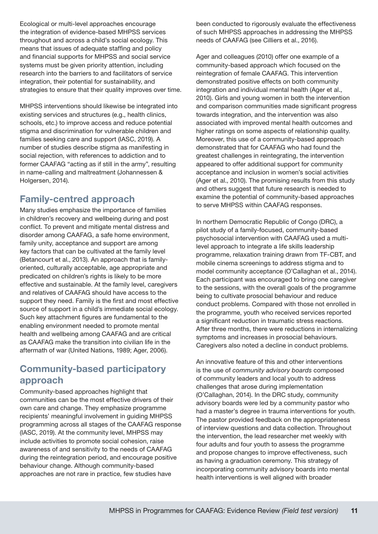<span id="page-16-0"></span>Ecological or multi-level approaches encourage the integration of evidence-based MHPSS services throughout and across a child's social ecology. This means that issues of adequate staffing and policy and financial supports for MHPSS and social service systems must be given priority attention, including research into the barriers to and facilitators of service integration, their potential for sustainability, and strategies to ensure that their quality improves over time.

MHPSS interventions should likewise be integrated into existing services and structures (e.g., health clinics, schools, etc.) to improve access and reduce potential stigma and discrimination for vulnerable children and families seeking care and support (IASC, 2019). A number of studies describe stigma as manifesting in social rejection, with references to addiction and to former CAAFAG "acting as if still in the army", resulting in name-calling and maltreatment (Johannessen & Holgersen, 2014).

### Family-centred approach

Many studies emphasize the importance of families in children's recovery and wellbeing during and post conflict. To prevent and mitigate mental distress and disorder among CAAFAG, a safe home environment, family unity, acceptance and support are among key factors that can be cultivated at the family level (Betancourt et al., 2013). An approach that is familyoriented, culturally acceptable, age appropriate and predicated on children's rights is likely to be more effective and sustainable. At the family level, caregivers and relatives of CAAFAG should have access to the support they need. Family is the first and most effective source of support in a child's immediate social ecology. Such key attachment figures are fundamental to the enabling environment needed to promote mental health and wellbeing among CAAFAG and are critical as CAAFAG make the transition into civilian life in the aftermath of war (United Nations, 1989; Ager, 2006).

#### Community-based participatory approach

Community-based approaches highlight that communities can be the most effective drivers of their own care and change. They emphasize programme recipients' meaningful involvement in guiding MHPSS programming across all stages of the CAAFAG response (IASC, 2019). At the community level, MHPSS may include activities to promote social cohesion, raise awareness of and sensitivity to the needs of CAAFAG during the reintegration period, and encourage positive behaviour change. Although community-based approaches are not rare in practice, few studies have

been conducted to rigorously evaluate the effectiveness of such MHPSS approaches in addressing the MHPSS needs of CAAFAG (see Cilliers et al., 2016).

Ager and colleagues (2010) offer one example of a community-based approach which focused on the reintegration of female CAAFAG. This intervention demonstrated positive effects on both community integration and individual mental health (Ager et al., 2010). Girls and young women in both the intervention and comparison communities made significant progress towards integration, and the intervention was also associated with improved mental health outcomes and higher ratings on some aspects of relationship quality. Moreover, this use of a community-based approach demonstrated that for CAAFAG who had found the greatest challenges in reintegrating, the intervention appeared to offer additional support for community acceptance and inclusion in women's social activities (Ager et al., 2010). The promising results from this study and others suggest that future research is needed to examine the potential of community-based approaches to serve MHPSS within CAAFAG responses.

In northern Democratic Republic of Congo (DRC), a pilot study of a family-focused, community-based psychosocial intervention with CAAFAG used a multilevel approach to integrate a life skills leadership programme, relaxation training drawn from TF-CBT, and mobile cinema screenings to address stigma and to model community acceptance (O'Callaghan et al., 2014). Each participant was encouraged to bring one caregiver to the sessions, with the overall goals of the programme being to cultivate prosocial behaviour and reduce conduct problems. Compared with those not enrolled in the programme, youth who received services reported a significant reduction in traumatic stress reactions. After three months, there were reductions in internalizing symptoms and increases in prosocial behaviours. Caregivers also noted a decline in conduct problems.

An innovative feature of this and other interventions is the use of *community advisory boards* composed of community leaders and local youth to address challenges that arose during implementation (O'Callaghan, 2014). In the DRC study, community advisory boards were led by a community pastor who had a master's degree in trauma interventions for youth. The pastor provided feedback on the appropriateness of interview questions and data collection. Throughout the intervention, the lead researcher met weekly with four adults and four youth to assess the programme and propose changes to improve effectiveness, such as having a graduation ceremony. This strategy of incorporating community advisory boards into mental health interventions is well aligned with broader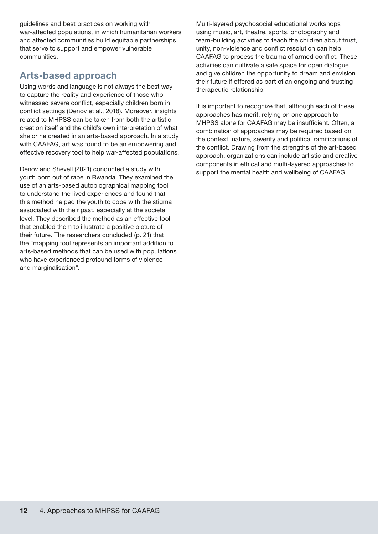<span id="page-17-0"></span>guidelines and best practices on working with war-affected populations, in which humanitarian workers and affected communities build equitable partnerships that serve to support and empower vulnerable communities.

#### Arts-based approach

Using words and language is not always the best way to capture the reality and experience of those who witnessed severe conflict, especially children born in conflict settings (Denov et al., 2018). Moreover, insights related to MHPSS can be taken from both the artistic creation itself and the child's own interpretation of what she or he created in an arts-based approach. In a study with CAAFAG, art was found to be an empowering and effective recovery tool to help war-affected populations.

Denov and Shevell (2021) conducted a study with youth born out of rape in Rwanda. They examined the use of an arts-based autobiographical mapping tool to understand the lived experiences and found that this method helped the youth to cope with the stigma associated with their past, especially at the societal level. They described the method as an effective tool that enabled them to illustrate a positive picture of their future. The researchers concluded (p. 21) that the "mapping tool represents an important addition to arts-based methods that can be used with populations who have experienced profound forms of violence and marginalisation".

Multi-layered psychosocial educational workshops using music, art, theatre, sports, photography and team-building activities to teach the children about trust, unity, non-violence and conflict resolution can help CAAFAG to process the trauma of armed conflict. These activities can cultivate a safe space for open dialogue and give children the opportunity to dream and envision their future if offered as part of an ongoing and trusting therapeutic relationship.

It is important to recognize that, although each of these approaches has merit, relying on one approach to MHPSS alone for CAAFAG may be insufficient. Often, a combination of approaches may be required based on the context, nature, severity and political ramifications of the conflict. Drawing from the strengths of the art-based approach, organizations can include artistic and creative components in ethical and multi-layered approaches to support the mental health and wellbeing of CAAFAG.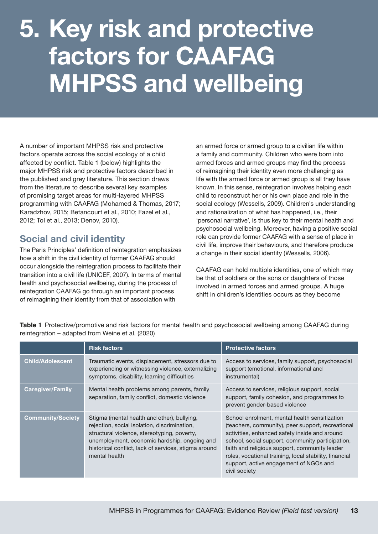# <span id="page-18-0"></span>5. Key risk and protective factors for CAAFAG MHPSS and wellbeing

A number of important MHPSS risk and protective factors operate across the social ecology of a child affected by conflict. Table 1 (below) highlights the major MHPSS risk and protective factors described in the published and grey literature. This section draws from the literature to describe several key examples of promising target areas for multi-layered MHPSS programming with CAAFAG (Mohamed & Thomas, 2017; Karadzhov, 2015; Betancourt et al., 2010; Fazel et al., 2012; Tol et al., 2013; Denov, 2010).

#### Social and civil identity

The Paris Principles' definition of reintegration emphasizes how a shift in the civil identity of former CAAFAG should occur alongside the reintegration process to facilitate their transition into a civil life (UNICEF, 2007). In terms of mental health and psychosocial wellbeing, during the process of reintegration CAAFAG go through an important process of reimagining their identity from that of association with

an armed force or armed group to a civilian life within a family and community. Children who were born into armed forces and armed groups may find the process of reimagining their identity even more challenging as life with the armed force or armed group is all they have known. In this sense, reintegration involves helping each child to reconstruct her or his own place and role in the social ecology (Wessells, 2009). Children's understanding and rationalization of what has happened, i.e., their 'personal narrative', is thus key to their mental health and psychosocial wellbeing. Moreover, having a positive social role can provide former CAAFAG with a sense of place in civil life, improve their behaviours, and therefore produce a change in their social identity (Wessells, 2006).

CAAFAG can hold multiple identities, one of which may be that of soldiers or the sons or daughters of those involved in armed forces and armed groups. A huge shift in children's identities occurs as they become

|                          | <b>Risk factors</b>                                                                                                                                                                                                                                                 | <b>Protective factors</b>                                                                                                                                                                                                                                                                                                                                                     |
|--------------------------|---------------------------------------------------------------------------------------------------------------------------------------------------------------------------------------------------------------------------------------------------------------------|-------------------------------------------------------------------------------------------------------------------------------------------------------------------------------------------------------------------------------------------------------------------------------------------------------------------------------------------------------------------------------|
| <b>Child/Adolescent</b>  | Traumatic events, displacement, stressors due to<br>experiencing or witnessing violence, externalizing<br>symptoms, disability, learning difficulties                                                                                                               | Access to services, family support, psychosocial<br>support (emotional, informational and<br>instrumental)                                                                                                                                                                                                                                                                    |
| <b>Caregiver/Family</b>  | Mental health problems among parents, family<br>separation, family conflict, domestic violence                                                                                                                                                                      | Access to services, religious support, social<br>support, family cohesion, and programmes to<br>prevent gender-based violence                                                                                                                                                                                                                                                 |
| <b>Community/Society</b> | Stigma (mental health and other), bullying,<br>rejection, social isolation, discrimination,<br>structural violence, stereotyping, poverty,<br>unemployment, economic hardship, ongoing and<br>historical conflict, lack of services, stigma around<br>mental health | School enrolment, mental health sensitization<br>(teachers, community), peer support, recreational<br>activities, enhanced safety inside and around<br>school, social support, community participation,<br>faith and religious support, community leader<br>roles, vocational training, local stability, financial<br>support, active engagement of NGOs and<br>civil society |

Table 1 Protective/promotive and risk factors for mental health and psychosocial wellbeing among CAAFAG during reintegration – adapted from Weine et al. (2020)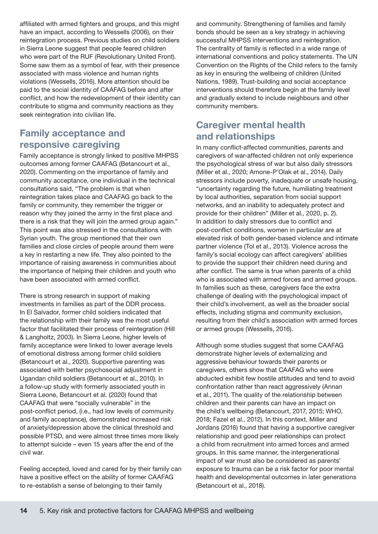<span id="page-19-0"></span>affiliated with armed fighters and groups, and this might have an impact, according to Wessells (2006), on their reintegration process. Previous studies on child soldiers in Sierra Leone suggest that people feared children who were part of the RUF (Revolutionary United Front). Some saw them as a symbol of fear, with their presence associated with mass violence and human rights violations (Wessells, 2016). More attention should be paid to the social identity of CAAFAG before and after conflict, and how the redevelopment of their identity can contribute to stigma and community reactions as they seek reintegration into civilian life.

#### Family acceptance and responsive caregiving

Family acceptance is strongly linked to positive MHPSS outcomes among former CAAFAG (Betancourt et al., 2020). Commenting on the importance of family and community acceptance, one individual in the technical consultations said, "The problem is that when reintegration takes place and CAAFAG go back to the family or community, they remember the trigger or reason why they joined the army in the first place and there is a risk that they will join the armed group again." This point was also stressed in the consultations with Syrian youth. The group mentioned that their own families and close circles of people around them were a key in restarting a new life. They also pointed to the importance of raising awareness in communities about the importance of helping their children and youth who have been associated with armed conflict.

There is strong research in support of making investments in families as part of the DDR process. In El Salvador, former child soldiers indicated that the relationship with their family was the most useful factor that facilitated their process of reintegration (Hill & Langholtz, 2003). In Sierra Leone, higher levels of family acceptance were linked to lower average levels of emotional distress among former child soldiers (Betancourt et al., 2020). Supportive parenting was associated with better psychosocial adjustment in Ugandan child soldiers (Betancourt et al., 2010). In a follow-up study with formerly associated youth in Sierra Leone, Betancourt et al. (2020) found that CAAFAG that were "socially vulnerable" in the post-conflict period, (i.e., had low levels of community and family acceptance), demonstrated increased risk of anxiety/depression above the clinical threshold and possible PTSD, and were almost three times more likely to attempt suicide – even 15 years after the end of the civil war.

Feeling accepted, loved and cared for by their family can have a positive effect on the ability of former CAAFAG to re-establish a sense of belonging to their family

and community. Strengthening of families and family bonds should be seen as a key strategy in achieving successful MHPSS interventions and reintegration. The centrality of family is reflected in a wide range of international conventions and policy statements. The UN Convention on the Rights of the Child refers to the family as key in ensuring the wellbeing of children (United Nations, 1989). Trust-building and social acceptance interventions should therefore begin at the family level and gradually extend to include neighbours and other community members.

#### Caregiver mental health and relationships

In many conflict-affected communities, parents and caregivers of war-affected children not only experience the psychological stress of war but also daily stressors (Miller et al., 2020; Amone-P'Olak et al., 2014). Daily stressors include poverty, inadequate or unsafe housing, "uncertainty regarding the future, humiliating treatment by local authorities, separation from social support networks, and an inability to adequately protect and provide for their children" (Miller et al., 2020, p. 2). In addition to daily stressors due to conflict and post-conflict conditions, women in particular are at elevated risk of both gender-based violence and intimate partner violence (Tol et al., 2013). Violence across the family's social ecology can affect caregivers' abilities to provide the support their children need during and after conflict. The same is true when parents of a child who is associated with armed forces and armed groups. In families such as these, caregivers face the extra challenge of dealing with the psychological impact of their child's involvement, as well as the broader social effects, including stigma and community exclusion, resulting from their child's association with armed forces or armed groups (Wessells, 2016).

Although some studies suggest that some CAAFAG demonstrate higher levels of externalizing and aggressive behaviour towards their parents or caregivers, others show that CAAFAG who were abducted exhibit few hostile attitudes and tend to avoid confrontation rather than react aggressively (Annan et al., 2011). The quality of the relationship between children and their parents can have an impact on the child's wellbeing (Betancourt, 2017, 2015; WHO, 2018; Fazel et al., 2012). In this context, Miller and Jordans (2016) found that having a supportive caregiver relationship and good peer relationships can protect a child from recruitment into armed forces and armed groups. In this same manner, the intergenerational impact of war must also be considered as parents' exposure to trauma can be a risk factor for poor mental health and developmental outcomes in later generations (Betancourt et al., 2018).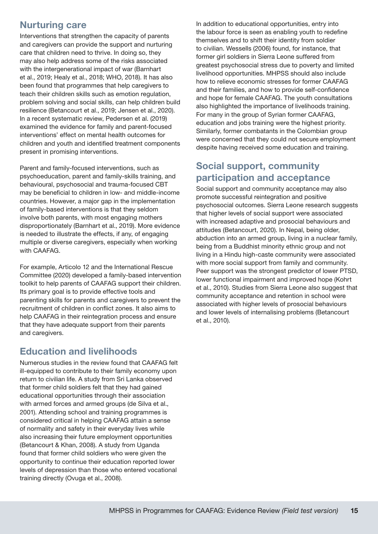#### <span id="page-20-0"></span>Nurturing care

Interventions that strengthen the capacity of parents and caregivers can provide the support and nurturing care that children need to thrive. In doing so, they may also help address some of the risks associated with the intergenerational impact of war (Barnhart et al., 2019; Healy et al., 2018; WHO, 2018). It has also been found that programmes that help caregivers to teach their children skills such as emotion regulation, problem solving and social skills, can help children build resilience (Betancourt et al., 2019; Jensen et al., 2020). In a recent systematic review, Pedersen et al. (2019) examined the evidence for family and parent-focused interventions' effect on mental health outcomes for children and youth and identified treatment components present in promising interventions.

Parent and family-focused interventions, such as psychoeducation, parent and family-skills training, and behavioural, psychosocial and trauma-focused CBT may be beneficial to children in low- and middle-income countries. However, a major gap in the implementation of family-based interventions is that they seldom involve both parents, with most engaging mothers disproportionately (Barnhart et al., 2019). More evidence is needed to illustrate the effects, if any, of engaging multiple or diverse caregivers, especially when working with CAAFAG.

For example, Articolo 12 and the International Rescue Committee (2020) developed a family-based intervention toolkit to help parents of CAAFAG support their children. Its primary goal is to provide effective tools and parenting skills for parents and caregivers to prevent the recruitment of children in conflict zones. It also aims to help CAAFAG in their reintegration process and ensure that they have adequate support from their parents and caregivers.

#### Education and livelihoods

Numerous studies in the review found that CAAFAG felt ill-equipped to contribute to their family economy upon return to civilian life. A study from Sri Lanka observed that former child soldiers felt that they had gained educational opportunities through their association with armed forces and armed groups (de Silva et al., 2001). Attending school and training programmes is considered critical in helping CAAFAG attain a sense of normality and safety in their everyday lives while also increasing their future employment opportunities (Betancourt & Khan, 2008). A study from Uganda found that former child soldiers who were given the opportunity to continue their education reported lower levels of depression than those who entered vocational training directly (Ovuga et al., 2008).

In addition to educational opportunities, entry into the labour force is seen as enabling youth to redefine themselves and to shift their identity from soldier to civilian. Wessells (2006) found, for instance, that former girl soldiers in Sierra Leone suffered from greatest psychosocial stress due to poverty and limited livelihood opportunities. MHPSS should also include how to relieve economic stresses for former CAAFAG and their families, and how to provide self-confidence and hope for female CAAFAG. The youth consultations also highlighted the importance of livelihoods training. For many in the group of Syrian former CAAFAG, education and jobs training were the highest priority. Similarly, former combatants in the Colombian group were concerned that they could not secure employment despite having received some education and training.

#### Social support, community participation and acceptance

Social support and community acceptance may also promote successful reintegration and positive psychosocial outcomes. Sierra Leone research suggests that higher levels of social support were associated with increased adaptive and prosocial behaviours and attitudes (Betancourt, 2020). In Nepal, being older, abduction into an armed group, living in a nuclear family, being from a Buddhist minority ethnic group and not living in a Hindu high-caste community were associated with more social support from family and community. Peer support was the strongest predictor of lower PTSD, lower functional impairment and improved hope (Kohrt et al., 2010). Studies from Sierra Leone also suggest that community acceptance and retention in school were associated with higher levels of prosocial behaviours and lower levels of internalising problems (Betancourt et al., 2010).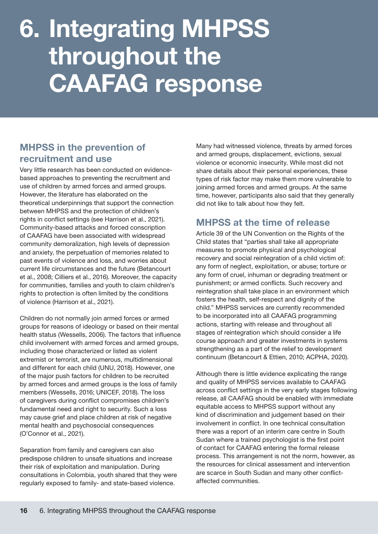# <span id="page-21-0"></span>6. Integrating MHPSS throughout the CAAFAG response

#### MHPSS in the prevention of recruitment and use

Very little research has been conducted on evidencebased approaches to preventing the recruitment and use of children by armed forces and armed groups. However, the literature has elaborated on the theoretical underpinnings that support the connection between MHPSS and the protection of children's rights in conflict settings (see Harrison et al., 2021). Community-based attacks and forced conscription of CAAFAG have been associated with widespread community demoralization, high levels of depression and anxiety, the perpetuation of memories related to past events of violence and loss, and worries about current life circumstances and the future (Betancourt et al., 2008; Cilliers et al., 2016). Moreover, the capacity for communities, families and youth to claim children's rights to protection is often limited by the conditions of violence (Harrison et al., 2021).

Children do not normally join armed forces or armed groups for reasons of ideology or based on their mental health status (Wessells, 2006). The factors that influence child involvement with armed forces and armed groups, including those characterized or listed as violent extremist or terrorist, are numerous, multidimensional and different for each child (UNU, 2018). However, one of the major push factors for children to be recruited by armed forces and armed groups is the loss of family members (Wessells, 2016; UNICEF, 2018). The loss of caregivers during conflict compromises children's fundamental need and right to security. Such a loss may cause grief and place children at risk of negative mental health and psychosocial consequences (O'Connor et al., 2021).

Separation from family and caregivers can also predispose children to unsafe situations and increase their risk of exploitation and manipulation. During consultations in Colombia, youth shared that they were regularly exposed to family- and state-based violence.

Many had witnessed violence, threats by armed forces and armed groups, displacement, evictions, sexual violence or economic insecurity. While most did not share details about their personal experiences, these types of risk factor may make them more vulnerable to joining armed forces and armed groups. At the same time, however, participants also said that they generally did not like to talk about how they felt.

#### MHPSS at the time of release

Article 39 of the UN Convention on the Rights of the Child states that "parties shall take all appropriate measures to promote physical and psychological recovery and social reintegration of a child victim of: any form of neglect, exploitation, or abuse; torture or any form of cruel, inhuman or degrading treatment or punishment; or armed conflicts. Such recovery and reintegration shall take place in an environment which fosters the health, self-respect and dignity of the child." MHPSS services are currently recommended to be incorporated into all CAAFAG programming actions, starting with release and throughout all stages of reintegration which should consider a life course approach and greater investments in systems strengthening as a part of the relief to development continuum (Betancourt & Ettien, 2010; ACPHA, 2020).

Although there is little evidence explicating the range and quality of MHPSS services available to CAAFAG across conflict settings in the very early stages following release, all CAAFAG should be enabled with immediate equitable access to MHPSS support without any kind of discrimination and judgement based on their involvement in conflict. In one technical consultation there was a report of an interim care centre in South Sudan where a trained psychologist is the first point of contact for CAAFAG entering the formal release process. This arrangement is not the norm, however, as the resources for clinical assessment and intervention are scarce in South Sudan and many other conflictaffected communities.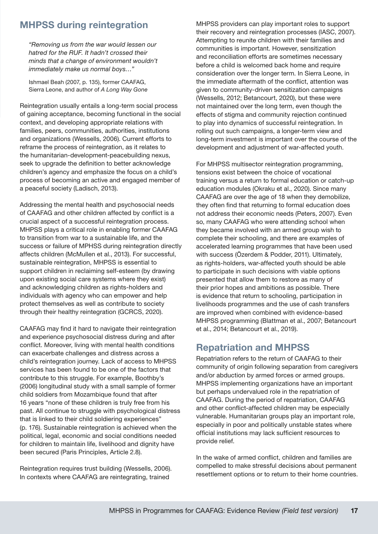#### <span id="page-22-0"></span>MHPSS during reintegration

*"Removing us from the war would lessen our hatred for the RUF. It hadn't crossed their minds that a change of environment wouldn't immediately make us normal boys…"*

Ishmael Beah (2007, p. 135), former CAAFAG, Sierra Leone, and author of *A Long Way Gone*

Reintegration usually entails a long-term social process of gaining acceptance, becoming functional in the social context, and developing appropriate relations with families, peers, communities, authorities, institutions and organizations (Wessells, 2006). Current efforts to reframe the process of reintegration, as it relates to the humanitarian-development-peacebuilding nexus, seek to upgrade the definition to better acknowledge children's agency and emphasize the focus on a child's process of becoming an active and engaged member of a peaceful society (Ladisch, 2013).

Addressing the mental health and psychosocial needs of CAAFAG and other children affected by conflict is a crucial aspect of a successful reintegration process. MHPSS plays a critical role in enabling former CAAFAG to transition from war to a sustainable life, and the success or failure of MPHSS during reintegration directly affects children (McMullen et al., 2013). For successful, sustainable reintegration, MHPSS is essential to support children in reclaiming self-esteem (by drawing upon existing social care systems where they exist) and acknowledging children as rights-holders and individuals with agency who can empower and help protect themselves as well as contribute to society through their healthy reintegration (GCRCS, 2020).

CAAFAG may find it hard to navigate their reintegration and experience psychosocial distress during and after conflict. Moreover, living with mental health conditions can exacerbate challenges and distress across a child's reintegration journey. Lack of access to MHPSS services has been found to be one of the factors that contribute to this struggle. For example, Boothby's (2006) longitudinal study with a small sample of former child soldiers from Mozambique found that after 16 years "none of these children is truly free from his past. All continue to struggle with psychological distress that is linked to their child soldiering experiences" (p. 176). Sustainable reintegration is achieved when the political, legal, economic and social conditions needed for children to maintain life, livelihood and dignity have been secured (Paris Principles, Article 2.8).

Reintegration requires trust building (Wessells, 2006). In contexts where CAAFAG are reintegrating, trained

MHPSS providers can play important roles to support their recovery and reintegration processes (IASC, 2007). Attempting to reunite children with their families and communities is important. However, sensitization and reconciliation efforts are sometimes necessary before a child is welcomed back home and require consideration over the longer term. In Sierra Leone, in the immediate aftermath of the conflict, attention was given to community-driven sensitization campaigns (Wessells, 2012; Betancourt, 2020), but these were not maintained over the long term, even though the effects of stigma and community rejection continued to play into dynamics of successful reintegration. In rolling out such campaigns, a longer-term view and long-term investment is important over the course of the development and adjustment of war-affected youth.

For MHPSS multisector reintegration programming, tensions exist between the choice of vocational training versus a return to formal education or catch-up education modules (Okraku et al., 2020). Since many CAAFAG are over the age of 18 when they demobilize, they often find that returning to formal education does not address their economic needs (Peters, 2007). Even so, many CAAFAG who were attending school when they became involved with an armed group wish to complete their schooling, and there are examples of accelerated learning programmes that have been used with success (Özerdem & Podder, 2011). Ultimately, as rights-holders, war-affected youth should be able to participate in such decisions with viable options presented that allow them to restore as many of their prior hopes and ambitions as possible. There is evidence that return to schooling, participation in livelihoods programmes and the use of cash transfers are improved when combined with evidence-based MHPSS programming (Blattman et al., 2007; Betancourt et al., 2014; Betancourt et al., 2019).

#### Repatriation and MHPSS

Repatriation refers to the return of CAAFAG to their community of origin following separation from caregivers and/or abduction by armed forces or armed groups. MHPSS implementing organizations have an important but perhaps undervalued role in the repatriation of CAAFAG. During the period of repatriation, CAAFAG and other conflict-affected children may be especially vulnerable. Humanitarian groups play an important role, especially in poor and politically unstable states where official institutions may lack sufficient resources to provide relief.

In the wake of armed conflict, children and families are compelled to make stressful decisions about permanent resettlement options or to return to their home countries.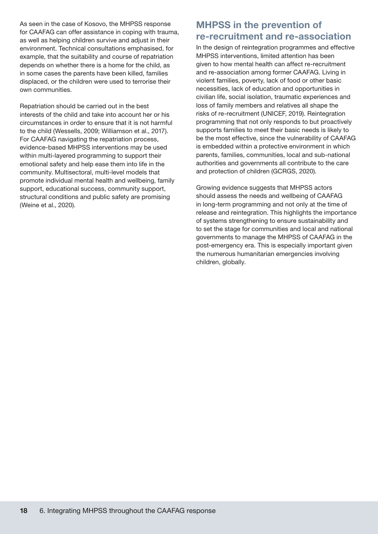<span id="page-23-0"></span>As seen in the case of Kosovo, the MHPSS response for CAAFAG can offer assistance in coping with trauma, as well as helping children survive and adjust in their environment. Technical consultations emphasised, for example, that the suitability and course of repatriation depends on whether there is a home for the child, as in some cases the parents have been killed, families displaced, or the children were used to terrorise their own communities.

Repatriation should be carried out in the best interests of the child and take into account her or his circumstances in order to ensure that it is not harmful to the child (Wessells, 2009; Williamson et al., 2017). For CAAFAG navigating the repatriation process, evidence-based MHPSS interventions may be used within multi-layered programming to support their emotional safety and help ease them into life in the community. Multisectoral, multi-level models that promote individual mental health and wellbeing, family support, educational success, community support, structural conditions and public safety are promising (Weine et al., 2020).

#### MHPSS in the prevention of re-recruitment and re-association

In the design of reintegration programmes and effective MHPSS interventions, limited attention has been given to how mental health can affect re-recruitment and re-association among former CAAFAG. Living in violent families, poverty, lack of food or other basic necessities, lack of education and opportunities in civilian life, social isolation, traumatic experiences and loss of family members and relatives all shape the risks of re-recruitment (UNICEF, 2019). Reintegration programming that not only responds to but proactively supports families to meet their basic needs is likely to be the most effective, since the vulnerability of CAAFAG is embedded within a protective environment in which parents, families, communities, local and sub-national authorities and governments all contribute to the care and protection of children (GCRGS, 2020).

Growing evidence suggests that MHPSS actors should assess the needs and wellbeing of CAAFAG in long-term programming and not only at the time of release and reintegration. This highlights the importance of systems strengthening to ensure sustainability and to set the stage for communities and local and national governments to manage the MHPSS of CAAFAG in the post-emergency era. This is especially important given the numerous humanitarian emergencies involving children, globally.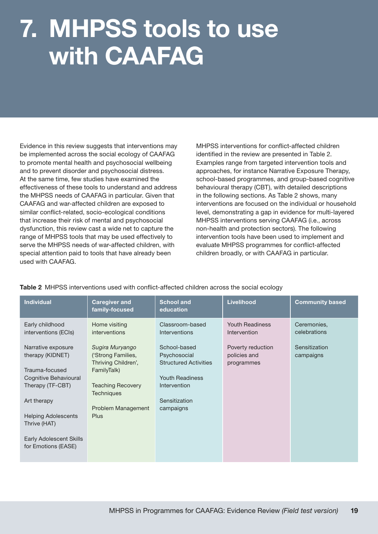# <span id="page-24-0"></span>7. MHPSS tools to use with CAAFAG

Evidence in this review suggests that interventions may be implemented across the social ecology of CAAFAG to promote mental health and psychosocial wellbeing and to prevent disorder and psychosocial distress. At the same time, few studies have examined the effectiveness of these tools to understand and address the MHPSS needs of CAAFAG in particular. Given that CAAFAG and war-affected children are exposed to similar conflict-related, socio-ecological conditions that increase their risk of mental and psychosocial dysfunction, this review cast a wide net to capture the range of MHPSS tools that may be used effectively to serve the MHPSS needs of war-affected children, with special attention paid to tools that have already been used with CAAFAG.

MHPSS interventions for conflict-affected children identified in the review are presented in Table 2. Examples range from targeted intervention tools and approaches, for instance Narrative Exposure Therapy, school-based programmes, and group-based cognitive behavioural therapy (CBT), with detailed descriptions in the following sections. As Table 2 shows, many interventions are focused on the individual or household level, demonstrating a gap in evidence for multi-layered MHPSS interventions serving CAAFAG (i.e., across non-health and protection sectors). The following intervention tools have been used to implement and evaluate MHPSS programmes for conflict-affected children broadly, or with CAAFAG in particular.

| <b>Individual</b>                                                                                     | <b>Caregiver and</b><br>family-focused                                                                  | <b>School and</b><br>education                                                                         | <b>Livelihood</b>                               | <b>Community based</b>      |
|-------------------------------------------------------------------------------------------------------|---------------------------------------------------------------------------------------------------------|--------------------------------------------------------------------------------------------------------|-------------------------------------------------|-----------------------------|
| Early childhood<br>interventions (ECIs)                                                               | Home visiting<br><i>interventions</i>                                                                   | Classroom-based<br>Interventions                                                                       | <b>Youth Readiness</b><br>Intervention          | Ceremonies,<br>celebrations |
| Narrative exposure<br>therapy (KIDNET)<br>Trauma-focused<br>Cognitive Behavioural<br>Therapy (TF-CBT) | Sugira Muryango<br>('Strong Families,<br>Thriving Children',<br>FamilyTalk)<br><b>Teaching Recovery</b> | School-based<br>Psychosocial<br><b>Structured Activities</b><br><b>Youth Readiness</b><br>Intervention | Poverty reduction<br>policies and<br>programmes | Sensitization<br>campaigns  |
| Art therapy                                                                                           | <b>Techniques</b><br>Problem Management                                                                 | Sensitization<br>campaigns                                                                             |                                                 |                             |
| <b>Helping Adolescents</b><br>Thrive (HAT)                                                            | <b>Plus</b>                                                                                             |                                                                                                        |                                                 |                             |
| <b>Early Adolescent Skills</b><br>for Emotions (EASE)                                                 |                                                                                                         |                                                                                                        |                                                 |                             |

#### Table 2 MHPSS interventions used with conflict-affected children across the social ecology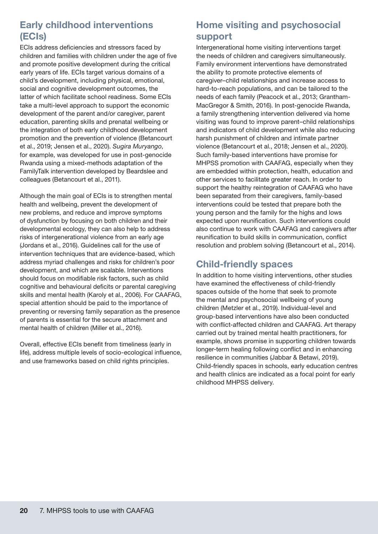#### <span id="page-25-0"></span>Early childhood interventions (ECIs)

ECIs address deficiencies and stressors faced by children and families with children under the age of five and promote positive development during the critical early years of life. ECIs target various domains of a child's development, including physical, emotional, social and cognitive development outcomes, the latter of which facilitate school readiness. Some ECIs take a multi-level approach to support the economic development of the parent and/or caregiver, parent education, parenting skills and prenatal wellbeing or the integration of both early childhood development promotion and the prevention of violence (Betancourt et al., 2019; Jensen et al., 2020). *Sugira Muryango*, for example, was developed for use in post-genocide Rwanda using a mixed-methods adaptation of the FamilyTalk intervention developed by Beardslee and colleagues (Betancourt et al., 2011).

Although the main goal of ECIs is to strengthen mental health and wellbeing, prevent the development of new problems, and reduce and improve symptoms of dysfunction by focusing on both children and their developmental ecology, they can also help to address risks of intergenerational violence from an early age (Jordans et al., 2016). Guidelines call for the use of intervention techniques that are evidence-based, which address myriad challenges and risks for children's poor development, and which are scalable. Interventions should focus on modifiable risk factors, such as child cognitive and behavioural deficits or parental caregiving skills and mental health (Karoly et al., 2006). For CAAFAG, special attention should be paid to the importance of preventing or reversing family separation as the presence of parents is essential for the secure attachment and mental health of children (Miller et al., 2016).

Overall, effective ECIs benefit from timeliness (early in life), address multiple levels of socio-ecological influence, and use frameworks based on child rights principles.

### Home visiting and psychosocial support

Intergenerational home visiting interventions target the needs of children and caregivers simultaneously. Family environment interventions have demonstrated the ability to promote protective elements of caregiver–child relationships and increase access to hard-to-reach populations, and can be tailored to the needs of each family (Peacock et al., 2013; Grantham-MacGregor & Smith, 2016). In post-genocide Rwanda, a family strengthening intervention delivered via home visiting was found to improve parent–child relationships and indicators of child development while also reducing harsh punishment of children and intimate partner violence (Betancourt et al., 2018; Jensen et al., 2020). Such family-based interventions have promise for MHPSS promotion with CAAFAG, especially when they are embedded within protection, health, education and other services to facilitate greater reach. In order to support the healthy reintegration of CAAFAG who have been separated from their caregivers, family-based interventions could be tested that prepare both the young person and the family for the highs and lows expected upon reunification. Such interventions could also continue to work with CAAFAG and caregivers after reunification to build skills in communication, conflict resolution and problem solving (Betancourt et al., 2014).

### Child-friendly spaces

In addition to home visiting interventions, other studies have examined the effectiveness of child-friendly spaces outside of the home that seek to promote the mental and psychosocial wellbeing of young children (Metzler et al., 2019). Individual-level and group-based interventions have also been conducted with conflict-affected children and CAAFAG. Art therapy carried out by trained mental health practitioners, for example, shows promise in supporting children towards longer-term healing following conflict and in enhancing resilience in communities (Jabbar & Betawi, 2019). Child-friendly spaces in schools, early education centres and health clinics are indicated as a focal point for early childhood MHPSS delivery.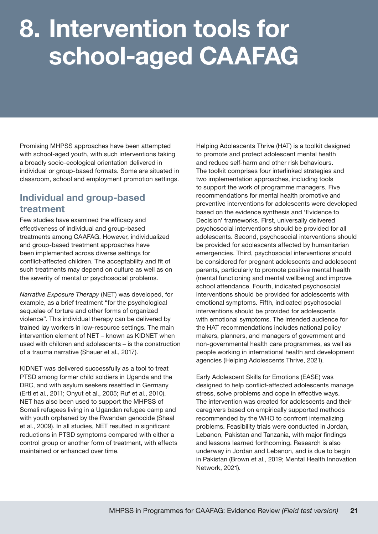## <span id="page-26-0"></span>8. Intervention tools for school-aged CAAFAG

Promising MHPSS approaches have been attempted with school-aged youth, with such interventions taking a broadly socio-ecological orientation delivered in individual or group-based formats. Some are situated in classroom, school and employment promotion settings.

#### Individual and group-based treatment

Few studies have examined the efficacy and effectiveness of individual and group-based treatments among CAAFAG. However, individualized and group-based treatment approaches have been implemented across diverse settings for conflict-affected children. The acceptability and fit of such treatments may depend on culture as well as on the severity of mental or psychosocial problems.

*Narrative Exposure Therapy* (NET) was developed, for example, as a brief treatment "for the psychological sequelae of torture and other forms of organized violence". This individual therapy can be delivered by trained lay workers in low-resource settings. The main intervention element of NET – known as KIDNET when used with children and adolescents – is the construction of a trauma narrative (Shauer et al., 2017).

KIDNET was delivered successfully as a tool to treat PTSD among former child soldiers in Uganda and the DRC, and with asylum seekers resettled in Germany (Ertl et al., 2011; Onyut et al., 2005; Ruf et al., 2010). NET has also been used to support the MHPSS of Somali refugees living in a Ugandan refugee camp and with youth orphaned by the Rwandan genocide (Shaal et al., 2009). In all studies, NET resulted in significant reductions in PTSD symptoms compared with either a control group or another form of treatment, with effects maintained or enhanced over time.

Helping Adolescents Thrive (HAT) is a toolkit designed to promote and protect adolescent mental health and reduce self-harm and other risk behaviours. The toolkit comprises four interlinked strategies and two implementation approaches, including tools to support the work of programme managers. Five recommendations for mental health promotive and preventive interventions for adolescents were developed based on the evidence synthesis and 'Evidence to Decision' frameworks. First, universally delivered psychosocial interventions should be provided for all adolescents. Second, psychosocial interventions should be provided for adolescents affected by humanitarian emergencies. Third, psychosocial interventions should be considered for pregnant adolescents and adolescent parents, particularly to promote positive mental health (mental functioning and mental wellbeing) and improve school attendance. Fourth, indicated psychosocial interventions should be provided for adolescents with emotional symptoms. Fifth, indicated psychosocial interventions should be provided for adolescents with emotional symptoms. The intended audience for the HAT recommendations includes national policy makers, planners, and managers of government and non-governmental health care programmes, as well as people working in international health and development agencies (Helping Adolescents Thrive, 2021).

Early Adolescent Skills for Emotions (EASE) was designed to help conflict-affected adolescents manage stress, solve problems and cope in effective ways. The intervention was created for adolescents and their caregivers based on empirically supported methods recommended by the WHO to confront internalizing problems. Feasibility trials were conducted in Jordan, Lebanon, Pakistan and Tanzania, with major findings and lessons learned forthcoming. Research is also underway in Jordan and Lebanon, and is due to begin in Pakistan (Brown et al., 2019; Mental Health Innovation Network, 2021).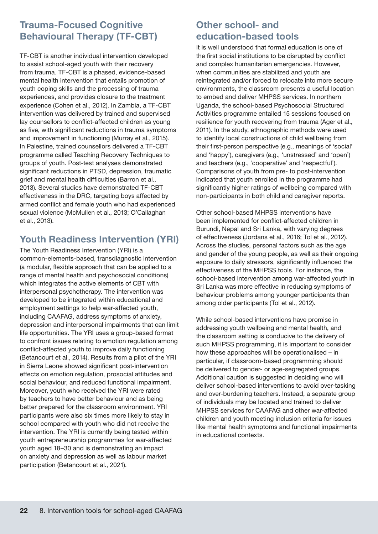#### <span id="page-27-0"></span>Trauma-Focused Cognitive Behavioural Therapy (TF-CBT)

TF-CBT is another individual intervention developed to assist school-aged youth with their recovery from trauma. TF-CBT is a phased, evidence-based mental health intervention that entails promotion of youth coping skills and the processing of trauma experiences, and provides closure to the treatment experience (Cohen et al., 2012). In Zambia, a TF-CBT intervention was delivered by trained and supervised lay counsellors to conflict-affected children as young as five, with significant reductions in trauma symptoms and improvement in functioning (Murray et al., 2015). In Palestine, trained counsellors delivered a TF-CBT programme called Teaching Recovery Techniques to groups of youth. Post-test analyses demonstrated significant reductions in PTSD, depression, traumatic grief and mental health difficulties (Barron et al., 2013). Several studies have demonstrated TF-CBT effectiveness in the DRC, targeting boys affected by armed conflict and female youth who had experienced sexual violence (McMullen et al., 2013; O'Callaghan et al., 2013).

### Youth Readiness Intervention (YRI)

The Youth Readiness Intervention (YRI) is a common-elements-based, transdiagnostic intervention (a modular, flexible approach that can be applied to a range of mental health and psychosocial conditions) which integrates the active elements of CBT with interpersonal psychotherapy. The intervention was developed to be integrated within educational and employment settings to help war-affected youth, including CAAFAG, address symptoms of anxiety, depression and interpersonal impairments that can limit life opportunities. The YRI uses a group-based format to confront issues relating to emotion regulation among conflict-affected youth to improve daily functioning (Betancourt et al., 2014). Results from a pilot of the YRI in Sierra Leone showed significant post-intervention effects on emotion regulation, prosocial attitudes and social behaviour, and reduced functional impairment. Moreover, youth who received the YRI were rated by teachers to have better behaviour and as being better prepared for the classroom environment. YRI participants were also six times more likely to stay in school compared with youth who did not receive the intervention. The YRI is currently being tested within youth entrepreneurship programmes for war-affected youth aged 18–30 and is demonstrating an impact on anxiety and depression as well as labour market participation (Betancourt et al., 2021).

#### Other school- and education-based tools

It is well understood that formal education is one of the first social institutions to be disrupted by conflict and complex humanitarian emergencies. However, when communities are stabilized and youth are reintegrated and/or forced to relocate into more secure environments, the classroom presents a useful location to embed and deliver MHPSS services. In northern Uganda, the school-based Psychosocial Structured Activities programme entailed 15 sessions focused on resilience for youth recovering from trauma (Ager et al., 2011). In the study, ethnographic methods were used to identify local constructions of child wellbeing from their first-person perspective (e.g., meanings of 'social' and 'happy'), caregivers (e.g., 'unstressed' and 'open') and teachers (e.g., 'cooperative' and 'respectful'). Comparisons of youth from pre- to post-intervention indicated that youth enrolled in the programme had significantly higher ratings of wellbeing compared with non-participants in both child and caregiver reports.

Other school-based MHPSS interventions have been implemented for conflict-affected children in Burundi, Nepal and Sri Lanka, with varying degrees of effectiveness (Jordans et al., 2016; Tol et al., 2012). Across the studies, personal factors such as the age and gender of the young people, as well as their ongoing exposure to daily stressors, significantly influenced the effectiveness of the MHPSS tools. For instance, the school-based intervention among war-affected youth in Sri Lanka was more effective in reducing symptoms of behaviour problems among younger participants than among older participants (Tol et al., 2012).

While school-based interventions have promise in addressing youth wellbeing and mental health, and the classroom setting is conducive to the delivery of such MHPSS programming, it is important to consider how these approaches will be operationalised – in particular, if classroom-based programming should be delivered to gender- or age-segregated groups. Additional caution is suggested in deciding who will deliver school-based interventions to avoid over-tasking and over-burdening teachers. Instead, a separate group of individuals may be located and trained to deliver MHPSS services for CAAFAG and other war-affected children and youth meeting inclusion criteria for issues like mental health symptoms and functional impairments in educational contexts.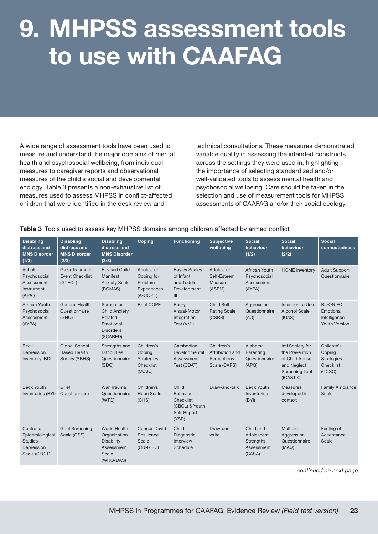## <span id="page-28-0"></span>9. MHPSS assessment tools to use with CAAFAG

A wide range of assessment tools have been used to measure and understand the major domains of mental health and psychosocial wellbeing, from individual measures to caregiver reports and observational measures of the child's social and developmental ecology. Table 3 presents a non-exhaustive list of measures used to assess MHPSS in conflict-affected children that were identified in the desk review and

technical consultations. These measures demonstrated variable quality in assessing the intended constructs across the settings they were used in, highlighting the importance of selecting standardized and/or well-validated tools to assess mental health and psychosocial wellbeing. Care should be taken in the selection and use of measurement tools for MHPSS assessments of CAAFAG and/or their social ecology.

| Table 3 Tools used to assess key MHPSS domains among children affected by armed conflict |  |  |  |
|------------------------------------------------------------------------------------------|--|--|--|
|                                                                                          |  |  |  |

| <b>Disabling</b><br>distress and<br><b>MNS Disorder</b><br>(1/3)         | <b>Disabling</b><br>distress and<br><b>MNS Disorder</b><br>(2/3) | <b>Disabling</b><br>distress and<br><b>MNS Disorder</b><br>(3/3)                           | Coping                                                           | <b>Functioning</b>                                                        | <b>Subjective</b><br>wellbeing                               | <b>Social</b><br>behaviour<br>(1/2)                          | <b>Social</b><br>behaviour<br>(2/2)                                                                       | <b>Social</b><br>connectedness                                   |
|--------------------------------------------------------------------------|------------------------------------------------------------------|--------------------------------------------------------------------------------------------|------------------------------------------------------------------|---------------------------------------------------------------------------|--------------------------------------------------------------|--------------------------------------------------------------|-----------------------------------------------------------------------------------------------------------|------------------------------------------------------------------|
| Acholi<br>Psychosocial<br>Assessment<br>Instrument<br>(APAI)             | Gaza Traumatic<br><b>Event Checklist</b><br>(GTECL)              | <b>Revised Child</b><br>Manifest<br><b>Anxiety Scale</b><br>(RCMAS)                        | Adolescent<br>Coping for<br>Problem<br>Experiences<br>(A-COPE)   | <b>Bayley Scales</b><br>of Infant<br>and Toddler<br>Development<br>III    | Adolescent<br>Self-Esteem<br>Measure<br>(ASEM)               | African Youth<br>Psychosocial<br>Assessment<br>(AYPA)        | <b>HOME</b> Inventory                                                                                     | <b>Adult Support</b><br>Questionnaire                            |
| African Youth<br>Psychosocial<br>Assessment<br>(AYPA)                    | General Health<br>Questionnaire<br>(GHQ)                         | Screen for<br><b>Child Anxiety</b><br>Related<br>Emotional<br><b>Disorders</b><br>(SCARED) | <b>Brief COPE</b>                                                | Beery<br>Visual-Motor<br>Integration<br>Test (VMI)                        | Child Self-<br><b>Rating Scale</b><br>(CSRS)                 | Aggression<br>Questionnaire<br>(AQ)                          | Intention to Use<br><b>Alcohol Scale</b><br>(IUAS)                                                        | <b>BarON EQ-I</b><br>Emotional<br>Intelligence-<br>Youth Version |
| <b>Beck</b><br>Depression<br>Inventory (BDI)                             | Global School-<br><b>Based Health</b><br>Survey (SBHS)           | Strengths and<br><b>Difficulties</b><br>Questionnaire<br>(SDQ)                             | Children's<br>Coping<br><b>Strategies</b><br>Checklist<br>(CCSC) | Cambodian<br>Developmental<br>Assessment<br>Test (CDAT)                   | Children's<br>Attribution and<br>Perceptions<br>Scale (CAPS) | Alabama<br>Parenting<br>Questionnaire<br>(APQ)               | Intl Society for<br>the Prevention<br>of Child Abuse<br>and Neglect<br><b>Screening Tool</b><br>(ICAST-C) | Children's<br>Coping<br><b>Strategies</b><br>Checklist<br>(CCSC) |
| <b>Beck Youth</b><br>Inventories (BYI)                                   | Grief<br>Questionnaire                                           | War Trauma<br>Questionnaire<br>(WTQ)                                                       | Children's<br><b>Hope Scale</b><br>(CHS)                         | Child<br>Behaviour<br>Checklist<br>(CBCL) & Youth<br>Self-Report<br>(YSR) | Draw-and-talk                                                | <b>Beck Youth</b><br>Inventories<br>(BYI)                    | <b>Measures</b><br>developed in<br>context                                                                | <b>Family Ambiance</b><br>Scale                                  |
| Centre for<br>Epidemiological<br>Studies-<br>Depression<br>Scale (CES-D) | <b>Grief Screening</b><br>Scale (GSS)                            | <b>World Health</b><br>Organization<br>Disability<br>Assessment<br>Scale<br>(WHO-DAS)      | Connor-David<br>Resilience<br>Scale<br>(CD-RISC)                 | Child<br>Diagnostic<br>Interview<br>Schedule                              | Draw-and-<br>write                                           | Child and<br>Adolescent<br>Strengths<br>Assessment<br>(CASA) | Multiple<br>Aggression<br>Questionnaire<br>(MAQ)                                                          | Feeling of<br>Acceptance<br>Scale                                |

*continued on next page*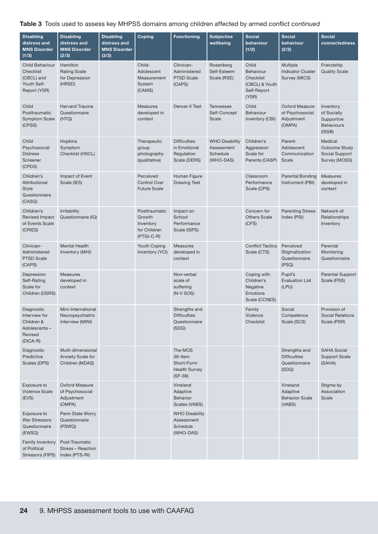#### Table 3 Tools used to assess key MHPSS domains among children affected by armed conflict *continued*

| <b>Disabling</b><br>distress and<br><b>MNS Disorder</b><br>(1/3)                   | <b>Disabling</b><br>distress and<br><b>MNS Disorder</b><br>(2/3) | <b>Disabling</b><br>distress and<br><b>MNS Disorder</b><br>(3/3) | Coping                                                               | <b>Functioning</b>                                                    | <b>Subjective</b><br>wellbeing                               | <b>Social</b><br>behaviour<br>(1/2)                                       | <b>Social</b><br>behaviour<br>(2/2)                            | <b>Social</b><br>connectedness                                        |
|------------------------------------------------------------------------------------|------------------------------------------------------------------|------------------------------------------------------------------|----------------------------------------------------------------------|-----------------------------------------------------------------------|--------------------------------------------------------------|---------------------------------------------------------------------------|----------------------------------------------------------------|-----------------------------------------------------------------------|
| <b>Child Behaviour</b><br>Checklist<br>(CBCL) and<br>Youth Self-<br>Report (YSR)   | Hamilton<br><b>Rating Scale</b><br>for Depression<br>(HRSD)      |                                                                  | Child-<br>Adolescent<br>Measurement<br>System<br>(CAMS)              | Clinician-<br>Administered<br><b>PTSD Scale</b><br>(CAPS)             | Rosenberg<br>Self-Esteem<br>Scale (RSE)                      | Child<br>Behaviour<br>Checklist<br>(CBCL) & Youth<br>Self-Report<br>(YSR) | Multiple<br><b>Indicator Cluster</b><br>Survey (MICS)          | Friendship<br><b>Quality Scale</b>                                    |
| Child<br>Posttraumatic<br><b>Symptom Scale</b><br>(CPSS)                           | <b>Harvard Trauma</b><br>Questionnaire<br>(HTQ)                  |                                                                  | <b>Measures</b><br>developed in<br>context                           | <b>Denver II Test</b>                                                 | <b>Tennessee</b><br>Self-Concept<br>Scale                    | Child<br>Behaviour<br>Inventory (CBI)                                     | Oxford Measure<br>of Psychosocial<br>Adjustment<br>(OMPA)      | Inventory<br>of Socially<br>Supportive<br><b>Behaviours</b><br>(ISSB) |
| Child<br>Psychosocial<br><b>Distress</b><br>Screener<br>(CPDS)                     | Hopkins<br>Symptom<br>Checklist (HSCL)                           |                                                                  | Therapeutic<br>group<br>photography<br>(qualitative)                 | <b>Difficulties</b><br>in Emotional<br>Regulation<br>Scale (DERS)     | <b>WHO Disability</b><br>Assessment<br>Schedule<br>(WHO-DAS) | Children's<br>Aggression<br>Scale for<br>Parents (CASP)                   | Parent-<br>Adolescent<br>Communication<br>Scale                | Medical<br><b>Outcome Study</b><br>Social Support<br>Survey (MOSS)    |
| Children's<br>Attributional<br><b>Style</b><br>Questionnaire<br>(CASQ)             | Impact of Event<br>Scale (IES)                                   |                                                                  | Perceived<br><b>Control Over</b><br><b>Future Scale</b>              | Human Figure<br><b>Drawing Test</b>                                   |                                                              | Classroom<br>Performance<br>Scale (CPS)                                   | <b>Parental Bonding</b><br>Instrument (PBI)                    | <b>Measures</b><br>developed in<br>context                            |
| Children's<br><b>Revised Impact</b><br>of Events Scale<br>(CRIES)                  | Irritability<br>Questionnaire (IQ)                               |                                                                  | Posttraumatic<br>Growth<br>Inventory<br>for Children<br>$(PTGI-C-R)$ | Impact on<br>School<br>Performance<br>Scale (ISPS)                    |                                                              | Concern for<br><b>Others Scale</b><br>(CFS)                               | <b>Parenting Stress</b><br>Index (PSI)                         | Network of<br>Relationships<br>Inventory                              |
| Clinician-<br>Administered<br><b>PTSD Scale</b><br>(CAPS)                          | <b>Mental Health</b><br>Inventory (MHI)                          |                                                                  | <b>Youth Coping</b><br>Inventory (YCI)                               | <b>Measures</b><br>developed in<br>context                            |                                                              | <b>Conflict Tactics</b><br>Scale (CTS)                                    | Perceived<br>Stigmatization<br>Questionnaire<br>(PSQ)          | Parental<br>Monitoring<br>Questionnaire                               |
| Depression<br>Self-Rating<br>Scale for<br>Children (DSRS)                          | <b>Measures</b><br>developed in<br>context                       |                                                                  |                                                                      | Non-verbal<br>scale of<br>suffering<br>$(N-V$ SOS)                    |                                                              | Coping with<br>Children's<br>Negative<br>Emotions<br>Scale (CCNES)        | Pupil's<br><b>Evaluation List</b><br>(LPU)                     | <b>Parental Support</b><br>Scale (PSS)                                |
| Diagnostic<br>Interview for<br>Children &<br>Adolescents-<br>Revised<br>$(DICA-R)$ | Mini-International<br>Neuropsychiatric<br>Interview (MINI)       |                                                                  |                                                                      | Strengths and<br><b>Difficulties</b><br>Questionnaire<br>(SDQ)        |                                                              | Family<br>Violence<br>Checklist                                           | Social<br>Competence<br>Scale (SCS)                            | Provision of<br><b>Social Relations</b><br>Scale (PSR)                |
| Diagnostic<br>Predictive<br>Scales (DPS)                                           | Multi-dimensional<br>Anxiety Scale for<br>Children (MDAS)        |                                                                  |                                                                      | The MOS<br>36-Item<br>Short-Form<br><b>Health Survey</b><br>$(SF-36)$ |                                                              |                                                                           | Strengths and<br><b>Difficulties</b><br>Questionnaire<br>(SDQ) | <b>SAHA Social</b><br><b>Support Scale</b><br>(SAHA)                  |
| Exposure to<br><b>Violence Scale</b><br>(EVS)                                      | Oxford Measure<br>of Psychosocial<br>Adjustment<br>(OMPA)        |                                                                  |                                                                      | Vineland<br>Adaptive<br><b>Behavior</b><br>Scales (VABS)              |                                                              |                                                                           | Vineland<br>Adaptive<br><b>Behavior Scale</b><br>(VABS)        | Stigma by<br>Association<br>Scale                                     |
| Exposure to<br><b>War Stressors</b><br>Questionnaire<br>(EWSQ)                     | Penn State Worry<br>Questionnaire<br>(PSWQ)                      |                                                                  |                                                                      | <b>WHO Disability</b><br>Assessment<br>Schedule<br>(WHO-DAS)          |                                                              |                                                                           |                                                                |                                                                       |
| <b>Family Inventory</b><br>of Political<br>Stressors (FIPS)                        | Post-Traumatic<br>Stress - Reaction<br>Index (PTS-RI)            |                                                                  |                                                                      |                                                                       |                                                              |                                                                           |                                                                |                                                                       |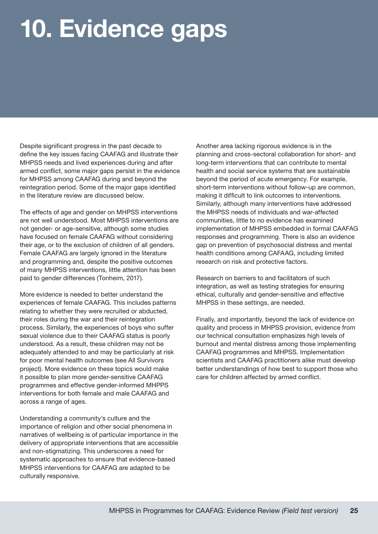# <span id="page-30-0"></span>10. Evidence gaps

Despite significant progress in the past decade to define the key issues facing CAAFAG and illustrate their MHPSS needs and lived experiences during and after armed conflict, some major gaps persist in the evidence for MHPSS among CAAFAG during and beyond the reintegration period. Some of the major gaps identified in the literature review are discussed below.

The effects of age and gender on MHPSS interventions are not well understood. Most MHPSS interventions are not gender- or age-sensitive, although some studies have focused on female CAAFAG without considering their age, or to the exclusion of children of all genders. Female CAAFAG are largely ignored in the literature and programming and, despite the positive outcomes of many MHPSS interventions, little attention has been paid to gender differences (Tonheim, 2017).

More evidence is needed to better understand the experiences of female CAAFAG. This includes patterns relating to whether they were recruited or abducted, their roles during the war and their reintegration process. Similarly, the experiences of boys who suffer sexual violence due to their CAAFAG status is poorly understood. As a result, these children may not be adequately attended to and may be particularly at risk for poor mental health outcomes (see All Survivors project). More evidence on these topics would make it possible to plan more gender-sensitive CAAFAG programmes and effective gender-informed MHPPS interventions for both female and male CAAFAG and across a range of ages.

Understanding a community's culture and the importance of religion and other social phenomena in narratives of wellbeing is of particular importance in the delivery of appropriate interventions that are accessible and non-stigmatizing. This underscores a need for systematic approaches to ensure that evidence-based MHPSS interventions for CAAFAG are adapted to be culturally responsive.

Another area lacking rigorous evidence is in the planning and cross-sectoral collaboration for short- and long-term interventions that can contribute to mental health and social service systems that are sustainable beyond the period of acute emergency. For example, short-term interventions without follow-up are common, making it difficult to link outcomes to interventions. Similarly, although many interventions have addressed the MHPSS needs of individuals and war-affected communities, little to no evidence has examined implementation of MHPSS embedded in formal CAAFAG responses and programming. There is also an evidence gap on prevention of psychosocial distress and mental health conditions among CAFAAG, including limited research on risk and protective factors.

Research on barriers to and facilitators of such integration, as well as testing strategies for ensuring ethical, culturally and gender-sensitive and effective MHPSS in these settings, are needed.

Finally, and importantly, beyond the lack of evidence on quality and process in MHPSS provision, evidence from our technical consultation emphasizes high levels of burnout and mental distress among those implementing CAAFAG programmes and MHPSS. Implementation scientists and CAAFAG practitioners alike must develop better understandings of how best to support those who care for children affected by armed conflict.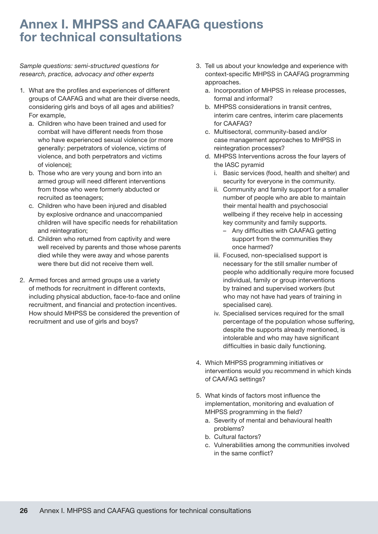### <span id="page-31-0"></span>Annex I. MHPSS and CAAFAG questions for technical consultations

*Sample questions: semi-structured questions for research, practice, advocacy and other experts* 

- 1. What are the profiles and experiences of different groups of CAAFAG and what are their diverse needs, considering girls and boys of all ages and abilities? For example,
	- a. Children who have been trained and used for combat will have different needs from those who have experienced sexual violence (or more generally: perpetrators of violence, victims of violence, and both perpetrators and victims of violence);
	- b. Those who are very young and born into an armed group will need different interventions from those who were formerly abducted or recruited as teenagers;
	- c. Children who have been injured and disabled by explosive ordnance and unaccompanied children will have specific needs for rehabilitation and reintegration;
	- d. Children who returned from captivity and were well received by parents and those whose parents died while they were away and whose parents were there but did not receive them well.
- 2. Armed forces and armed groups use a variety of methods for recruitment in different contexts, including physical abduction, face-to-face and online recruitment, and financial and protection incentives. How should MHPSS be considered the prevention of recruitment and use of girls and boys?
- 3. Tell us about your knowledge and experience with context-specific MHPSS in CAAFAG programming approaches.
	- a. Incorporation of MHPSS in release processes, formal and informal?
	- b. MHPSS considerations in transit centres, interim care centres, interim care placements for CAAFAG?
	- c. Multisectoral, community-based and/or case management approaches to MHPSS in reintegration processes?
	- d. MHPSS Interventions across the four layers of the IASC pyramid
		- i. Basic services (food, health and shelter) and security for everyone in the community.
		- ii. Community and family support for a smaller number of people who are able to maintain their mental health and psychosocial wellbeing if they receive help in accessing key community and family supports.
			- Any difficulties with CAAFAG getting support from the communities they once harmed?
		- iii. Focused, non-specialised support is necessary for the still smaller number of people who additionally require more focused individual, family or group interventions by trained and supervised workers (but who may not have had years of training in specialised care).
		- iv. Specialised services required for the small percentage of the population whose suffering, despite the supports already mentioned, is intolerable and who may have significant difficulties in basic daily functioning.
- 4. Which MHPSS programming initiatives or interventions would you recommend in which kinds of CAAFAG settings?
- 5. What kinds of factors most influence the implementation, monitoring and evaluation of MHPSS programming in the field?
	- a. Severity of mental and behavioural health problems?
	- b. Cultural factors?
	- c. Vulnerabilities among the communities involved in the same conflict?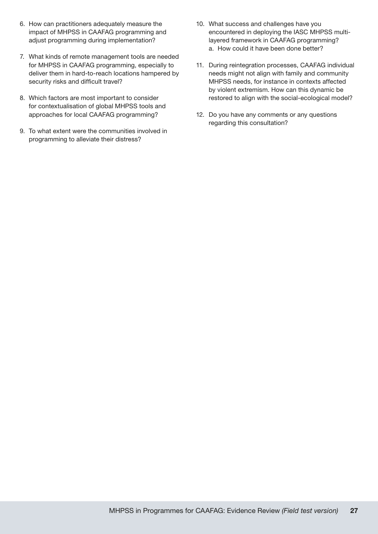- 6. How can practitioners adequately measure the impact of MHPSS in CAAFAG programming and adjust programming during implementation?
- 7. What kinds of remote management tools are needed for MHPSS in CAAFAG programming, especially to deliver them in hard-to-reach locations hampered by security risks and difficult travel?
- 8. Which factors are most important to consider for contextualisation of global MHPSS tools and approaches for local CAAFAG programming?
- 9. To what extent were the communities involved in programming to alleviate their distress?
- 10. What success and challenges have you encountered in deploying the IASC MHPSS multilayered framework in CAAFAG programming? a. How could it have been done better?
- 11. During reintegration processes, CAAFAG individual needs might not align with family and community MHPSS needs, for instance in contexts affected by violent extremism. How can this dynamic be restored to align with the social-ecological model?
- 12. Do you have any comments or any questions regarding this consultation?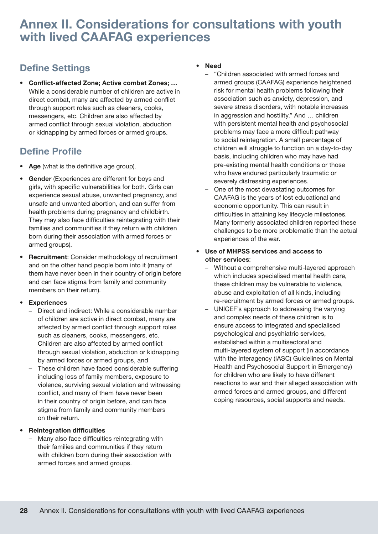### <span id="page-33-0"></span>Annex II. Considerations for consultations with youth with lived CAAFAG experiences

### Define Settings

• Conflict-affected Zone; Active combat Zones; … While a considerable number of children are active in direct combat, many are affected by armed conflict through support roles such as cleaners, cooks, messengers, etc. Children are also affected by armed conflict through sexual violation, abduction or kidnapping by armed forces or armed groups.

#### Define Profile

- Age (what is the definitive age group).
- Gender (Experiences are different for boys and girls, with specific vulnerabilities for both. Girls can experience sexual abuse, unwanted pregnancy, and unsafe and unwanted abortion, and can suffer from health problems during pregnancy and childbirth. They may also face difficulties reintegrating with their families and communities if they return with children born during their association with armed forces or armed groups).
- Recruitment: Consider methodology of recruitment and on the other hand people born into it (many of them have never been in their country of origin before and can face stigma from family and community members on their return).

#### **Experiences**

- Direct and indirect: While a considerable number of children are active in direct combat, many are affected by armed conflict through support roles such as cleaners, cooks, messengers, etc. Children are also affected by armed conflict through sexual violation, abduction or kidnapping by armed forces or armed groups, and
- These children have faced considerable suffering including loss of family members, exposure to violence, surviving sexual violation and witnessing conflict, and many of them have never been in their country of origin before, and can face stigma from family and community members on their return.

#### • Reintegration difficulties

– Many also face difficulties reintegrating with their families and communities if they return with children born during their association with armed forces and armed groups.

#### • Need

- "Children associated with armed forces and armed groups (CAAFAG) experience heightened risk for mental health problems following their association such as anxiety, depression, and severe stress disorders, with notable increases in aggression and hostility." And … children with persistent mental health and psychosocial problems may face a more difficult pathway to social reintegration. A small percentage of children will struggle to function on a day-to-day basis, including children who may have had pre-existing mental health conditions or those who have endured particularly traumatic or severely distressing experiences.
- One of the most devastating outcomes for CAAFAG is the years of lost educational and economic opportunity. This can result in difficulties in attaining key lifecycle milestones. Many formerly associated children reported these challenges to be more problematic than the actual experiences of the war.
- Use of MHPSS services and access to other services:
	- Without a comprehensive multi-layered approach which includes specialised mental health care, these children may be vulnerable to violence, abuse and exploitation of all kinds, including re-recruitment by armed forces or armed groups.
	- UNICEF's approach to addressing the varying and complex needs of these children is to ensure access to integrated and specialised psychological and psychiatric services, established within a multisectoral and multi-layered system of support (in accordance with the Interagency (IASC) Guidelines on Mental Health and Psychosocial Support in Emergency) for children who are likely to have different reactions to war and their alleged association with armed forces and armed groups, and different coping resources, social supports and needs.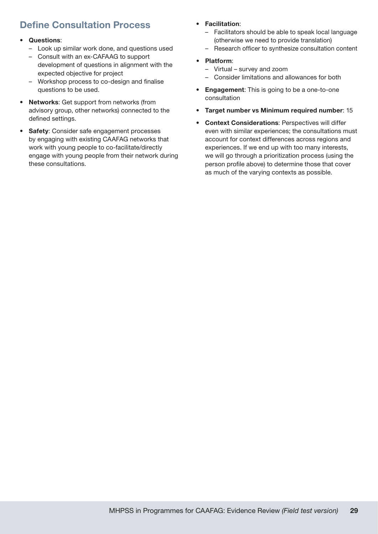### Define Consultation Process

#### • Questions:

- Look up similar work done, and questions used
- Consult with an ex-CAFAAG to support development of questions in alignment with the expected objective for project
- Workshop process to co-design and finalise questions to be used.
- Networks: Get support from networks (from advisory group, other networks) connected to the defined settings.
- Safety: Consider safe engagement processes by engaging with existing CAAFAG networks that work with young people to co-facilitate/directly engage with young people from their network during these consultations.

#### • Facilitation:

- Facilitators should be able to speak local language (otherwise we need to provide translation)
- Research officer to synthesize consultation content

#### • Platform:

- Virtual survey and zoom
- Consider limitations and allowances for both
- Engagement: This is going to be a one-to-one consultation
- Target number vs Minimum required number: 15
- **Context Considerations: Perspectives will differ** even with similar experiences; the consultations must account for context differences across regions and experiences. If we end up with too many interests, we will go through a prioritization process (using the person profile above) to determine those that cover as much of the varying contexts as possible.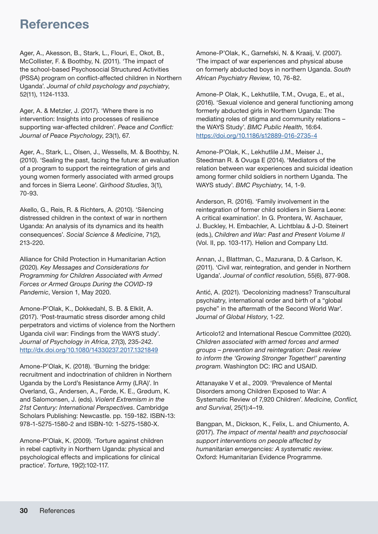### <span id="page-35-0"></span>**References**

Ager, A., Akesson, B., Stark, L., Flouri, E., Okot, B., McCollister, F. & Boothby, N. (2011). 'The impact of the school‐based Psychosocial Structured Activities (PSSA) program on conflict‐affected children in Northern Uganda'. *Journal of child psychology and psychiatry*, 52(11), 1124-1133.

Ager, A. & Metzler, J. (2017). 'Where there is no intervention: Insights into processes of resilience supporting war-affected children'. *Peace and Conflict: Journal of Peace Psychology*, 23(1), 67.

Ager, A., Stark, L., Olsen, J., Wessells, M. & Boothby, N. (2010). 'Sealing the past, facing the future: an evaluation of a program to support the reintegration of girls and young women formerly associated with armed groups and forces in Sierra Leone'. *Girlhood Studies*, 3(1), 70-93.

Akello, G., Reis, R. & Richters, A. (2010). 'Silencing distressed children in the context of war in northern Uganda: An analysis of its dynamics and its health consequences'. *Social Science & Medicine*, 71(2), 213-220.

Alliance for Child Protection in Humanitarian Action (2020). *Key Messages and Considerations for Programming for Children Associated with Armed Forces or Armed Groups During the COVID-19 Pandemic*, Version 1, May 2020.

Amone-P'Olak, K., Dokkedahl, S. B. & Elklit, A. (2017). 'Post-traumatic stress disorder among child perpetrators and victims of violence from the Northern Uganda civil war: Findings from the WAYS study'. *Journal of Psychology in Africa*, 27(3), 235-242. <http://dx.doi.org/10.1080/14330237.2017.1321849>

Amone-P'Olak, K. (2018). 'Burning the bridge: recruitment and indoctrination of children in Northern Uganda by the Lord's Resistance Army (LRA)'. In Overland, G., Andersen, A., Førde, K. E., Grødum, K. and Salomonsen, J. (eds). *Violent Extremism in the 21st Century: International Perspectives*. Cambridge Scholars Publishing: Newcastle. pp. 159-182. ISBN-13: 978-1-5275-1580-2 and ISBN-10: 1-5275-1580-X.

Amone-P'Olak, K. (2009). 'Torture against children in rebel captivity in Northern Uganda: physical and psychological effects and implications for clinical practice'. *Torture*, 19(2):102-117.

Amone-P'Olak, K., Garnefski, N. & Kraaij, V. (2007). 'The impact of war experiences and physical abuse on formerly abducted boys in northern Uganda. *South African Psychiatry Review*, 10, 76-82.

Amone-P Olak, K., Lekhutlile, T.M., Ovuga, E., et al., (2016). 'Sexual violence and general functioning among formerly abducted girls in Northern Uganda: The mediating roles of stigma and community relations – the WAYS Study'. *BMC Public Health*, 16:64. <https://doi.org/10.1186/s12889-016-2735-4>

Amone-P'Olak, K., Lekhutlile J.M., Meiser J., Steedman R. & Ovuga E (2014). 'Mediators of the relation between war experiences and suicidal ideation among former child soldiers in northern Uganda. The WAYS study'. *BMC Psychiatry*, 14, 1-9.

Anderson, R. (2016). 'Family involvement in the reintegration of former child soldiers in Sierra Leone: A critical examination'. In G. Prontera, W. Aschauer, J. Buckley, H. Embachler, A. Lichtblau & J-D. Steinert (eds.), *Children and War: Past and Present Volume II* (Vol. II, pp. 103-117). Helion and Company Ltd.

Annan, J., Blattman, C., Mazurana, D. & Carlson, K. (2011). 'Civil war, reintegration, and gender in Northern Uganda'. *Journal of conflict resolution*, 55(6), 877-908.

Antić, A. (2021). 'Decolonizing madness? Transcultural psychiatry, international order and birth of a "global psyche" in the aftermath of the Second World War'. *Journal of Global History*, 1-22.

Articolo12 and International Rescue Committee (2020). *Children associated with armed forces and armed groups – prevention and reintegration: Desk review to inform the 'Growing Stronger Together!' parenting program*. Washington DC: IRC and USAID.

Attanayake V et al., 2009. 'Prevalence of Mental Disorders among Children Exposed to War: A Systematic Review of 7,920 Children'. *Medicine, Conflict, and Survival*, 25(1):4–19.

Bangpan, M., Dickson, K., Felix, L. and Chiumento, A. (2017). *The impact of mental health and psychosocial support interventions on people affected by humanitarian emergencies: A systematic review*. Oxford: Humanitarian Evidence Programme.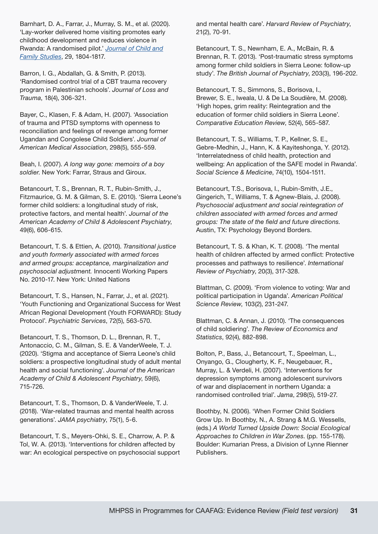Barnhart, D. A., Farrar, J., Murray, S. M., et al. (2020). 'Lay-worker delivered home visiting promotes early childhood development and reduces violence in Rwanda: A randomised pilot.' *[Journal of Child and](https://link.springer.com/journal/10826) [Family Studies](https://link.springer.com/journal/10826)*, 29, 1804-1817.

Barron, I. G., Abdallah, G. & Smith, P. (2013). 'Randomised control trial of a CBT trauma recovery program in Palestinian schools'. *Journal of Loss and Trauma*, 18(4), 306-321.

Bayer, C., Klasen, F. & Adam, H. (2007). 'Association of trauma and PTSD symptoms with openness to reconciliation and feelings of revenge among former Ugandan and Congolese Child Soldiers'. *Journal of American Medical Association*, 298(5), 555-559.

Beah, I. (2007). *A long way gone: memoirs of a boy soldier*. New York: Farrar, Straus and Giroux.

Betancourt, T. S., Brennan, R. T., Rubin-Smith, J., Fitzmaurice, G. M. & Gilman, S. E. (2010). 'Sierra Leone's former child soldiers: a longitudinal study of risk, protective factors, and mental health'. *Journal of the American Academy of Child & Adolescent Psychiatry*, 49(6), 606-615.

Betancourt, T. S. & Ettien, A. (2010). *Transitional justice and youth formerly associated with armed forces and armed groups: acceptance, marginalization and psychosocial adjustment.* Innocenti Working Papers No. 2010-17. New York: United Nations

Betancourt, T. S., Hansen, N., Farrar, J., et al. (2021). 'Youth Functioning and Organizational Success for West African Regional Development (Youth FORWARD): Study Protocol'. *Psychiatric Services*, 72(5), 563-570.

Betancourt, T. S., Thomson, D. L., Brennan, R. T., Antonaccio, C. M., Gilman, S. E. & VanderWeele, T. J. (2020). 'Stigma and acceptance of Sierra Leone's child soldiers: a prospective longitudinal study of adult mental health and social functioning'. *Journal of the American Academy of Child & Adolescent Psychiatry*, 59(6), 715-726.

Betancourt, T. S., Thomson, D. & VanderWeele, T. J. (2018). 'War-related traumas and mental health across generations'. *JAMA psychiatry*, 75(1), 5-6.

Betancourt, T. S., Meyers-Ohki, S. E., Charrow, A. P. & Tol, W. A. (2013). 'Interventions for children affected by war: An ecological perspective on psychosocial support

and mental health care'. *Harvard Review of Psychiatry*, 21(2), 70-91.

Betancourt, T. S., Newnham, E. A., McBain, R. & Brennan, R. T. (2013). 'Post-traumatic stress symptoms among former child soldiers in Sierra Leone: follow-up study'. *The British Journal of Psychiatry*, 203(3), 196-202.

Betancourt, T. S., Simmons, S., Borisova, I., Brewer, S. E., Iweala, U. & De La Soudière, M. (2008). 'High hopes, grim reality: Reintegration and the education of former child soldiers in Sierra Leone'. *Comparative Education Review*, 52(4), 565-587.

Betancourt, T. S., Williams, T. P., Kellner, S. E., Gebre-Medhin, J., Hann, K. & Kayiteshonga, Y. (2012). 'Interrelatedness of child health, protection and wellbeing: An application of the SAFE model in Rwanda'. *Social Science & Medicine*, 74(10), 1504-1511.

Betancourt, T.S., Borisova, I., Rubin-Smith, J.E., Gingerich, T., Williams, T. & Agnew-Blais, J. (2008). *Psychosocial adjustment and social reintegration of children associated with armed forces and armed groups: The state of the field and future directions.* Austin, TX: Psychology Beyond Borders.

Betancourt, T. S. & Khan, K. T. (2008). 'The mental health of children affected by armed conflict: Protective processes and pathways to resilience'. *International Review of Psychiatry*, 20(3), 317-328.

Blattman, C. (2009). 'From violence to voting: War and political participation in Uganda'. *American Political Science Review*, 103(2), 231-247.

Blattman, C. & Annan, J. (2010). 'The consequences of child soldiering'. *The Review of Economics and Statistics*, 92(4), 882-898.

Bolton, P., Bass, J., Betancourt, T., Speelman, L., Onyango, G., Clougherty, K. F., Neugebauer, R., Murray, L. & Verdeli, H. (2007). 'Interventions for depression symptoms among adolescent survivors of war and displacement in northern Uganda: a randomised controlled trial'. *Jama*, 298(5), 519-27.

Boothby, N. (2006). 'When Former Child Soldiers Grow Up. In Boothby, N., A. Strang & M.G. Wessells, (eds.) *A World Turned Upside Down: Social Ecological Approaches to Children in War Zones*. (pp. 155-178). Boulder: Kumarian Press, a Division of Lynne Rienner Publishers.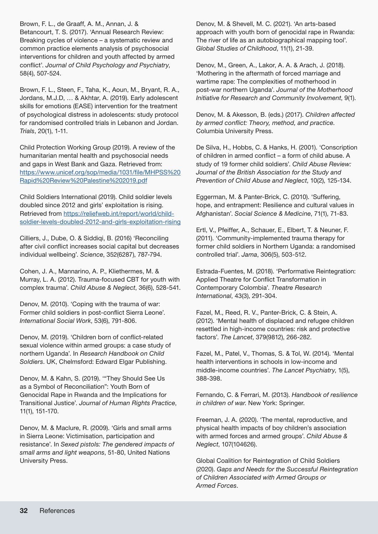Brown, F. L., de Graaff, A. M., Annan, J. &

Betancourt, T. S. (2017). 'Annual Research Review: Breaking cycles of violence – a systematic review and common practice elements analysis of psychosocial interventions for children and youth affected by armed conflict'. *Journal of Child Psychology and Psychiatry*, 58(4), 507-524.

Brown, F. L., Steen, F., Taha, K., Aoun, M., Bryant, R. A., Jordans, M.J.D, … & Akhtar, A. (2019). Early adolescent skills for emotions (EASE) intervention for the treatment of psychological distress in adolescents: study protocol for randomised controlled trials in Lebanon and Jordan. *Trials*, 20(1), 1-11.

Child Protection Working Group (2019). A review of the humanitarian mental health and psychosocial needs and gaps in West Bank and Gaza. Retrieved from: [https://www.unicef.org/sop/media/1031/file/MHPSS%20](https://www.unicef.org/sop/media/1031/file/MHPSS%20Rapid%20Review%20Palestine%202019.pdf) [Rapid%20Review%20Palestine%202019.pdf](https://www.unicef.org/sop/media/1031/file/MHPSS%20Rapid%20Review%20Palestine%202019.pdf)

Child Soldiers International (2019). Child soldier levels doubled since 2012 and girls' exploitation is rising. Retrieved from [https://reliefweb.int/report/world/child](https://reliefweb.int/report/world/child-soldier-levels-doubled-2012-and-girls-exploitation-rising)[soldier-levels-doubled-2012-and-girls-exploitation-rising](https://reliefweb.int/report/world/child-soldier-levels-doubled-2012-and-girls-exploitation-rising)

Cilliers, J., Dube, O. & Siddiqi, B. (2016) 'Reconciling after civil conflict increases social capital but decreases individual wellbeing'. *Science*, 352(6287), 787-794.

Cohen, J. A., Mannarino, A. P., Kliethermes, M. & Murray, L. A. (2012). Trauma-focused CBT for youth with complex trauma'. *Child Abuse & Neglect*, 36(6), 528-541.

Denov, M. (2010). 'Coping with the trauma of war: Former child soldiers in post-conflict Sierra Leone'. *International Social Work*, 53(6), 791-806.

Denov, M. (2019). 'Children born of conflict-related sexual violence within armed groups: a case study of northern Uganda'. In *Research Handbook on Child Soldiers*. UK, Chelmsford: Edward Elgar Publishing.

Denov, M. & Kahn, S. (2019). '"They Should See Us as a Symbol of Reconciliation": Youth Born of Genocidal Rape in Rwanda and the Implications for Transitional Justice'. *Journal of Human Rights Practice*, 11(1), 151-170.

Denov, M. & Maclure, R. (2009). 'Girls and small arms in Sierra Leone: Victimisation, participation and resistance'. In *Sexed pistols: The gendered impacts of small arms and light weapons*, 51-80, United Nations University Press.

Denov, M. & Shevell, M. C. (2021). 'An arts-based approach with youth born of genocidal rape in Rwanda: The river of life as an autobiographical mapping tool'. *Global Studies of Childhood*, 11(1), 21-39.

Denov, M., Green, A., Lakor, A. A. & Arach, J. (2018). 'Mothering in the aftermath of forced marriage and wartime rape: The complexities of motherhood in post-war northern Uganda'. *Journal of the Motherhood Initiative for Research and Community Involvement*, 9(1).

Denov, M. & Akesson, B. (eds.) (2017). *Children affected by armed conflict: Theory, method, and practice*. Columbia University Press.

De Silva, H., Hobbs, C. & Hanks, H. (2001). 'Conscription of children in armed conflict – a form of child abuse. A study of 19 former child soldiers'. *Child Abuse Review: Journal of the British Association for the Study and Prevention of Child Abuse and Neglect*, 10(2), 125-134.

Eggerman, M. & Panter-Brick, C. (2010). 'Suffering, hope, and entrapment: Resilience and cultural values in Afghanistan'. *Social Science & Medicine*, 71(1), 71-83.

Ertl, V., Pfeiffer, A., Schauer, E., Elbert, T. & Neuner, F. (2011). 'Community-implemented trauma therapy for former child soldiers in Northern Uganda: a randomised controlled trial'. *Jama*, 306(5), 503-512.

Estrada-Fuentes, M. (2018). 'Performative Reintegration: Applied Theatre for Conflict Transformation in Contemporary Colombia'. *Theatre Research International*, 43(3), 291-304.

Fazel, M., Reed, R. V., Panter-Brick, C. & Stein, A. (2012). 'Mental health of displaced and refugee children resettled in high-income countries: risk and protective factors'. *The Lancet*, 379(9812), 266-282.

Fazel, M., Patel, V., Thomas, S. & Tol, W. (2014). 'Mental health interventions in schools in low-income and middle-income countries'. *The Lancet Psychiatry*, 1(5), 388-398.

Fernando, C. & Ferrari, M. (2013). *Handbook of resilience in children of war*. New York: Springer.

Freeman, J. A. (2020). 'The mental, reproductive, and physical health impacts of boy children's association with armed forces and armed groups'. *Child Abuse & Neglect*, 107(104626).

Global Coalition for Reintegration of Child Soldiers (2020). *Gaps and Needs for the Successful Reintegration of Children Associated with Armed Groups or Armed Forces*.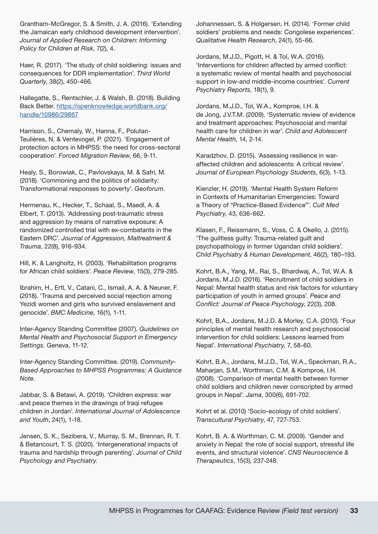Grantham-McGregor, S. & Smith, J. A. (2016). 'Extending the Jamaican early childhood development intervention'. *Journal of Applied Research on Children: Informing Policy for Children at Risk*, 7(2), 4.

Haer, R. (2017). 'The study of child soldiering: issues and consequences for DDR implementation'. *Third World Quarterly*, 38(2), 450-466.

Hallegatte, S., Rentschler, J. & Walsh, B. (2018). Building Back Better. [https://openknowledge.worldbank.org/](https://openknowledge.worldbank.org/handle/10986/29867) [handle/10986/29867](https://openknowledge.worldbank.org/handle/10986/29867)

Harrison, S., Chemaly, W., Hanna, F., Polutan-Teulières, N. & Ventevogel, P. (2021). 'Engagement of protection actors in MHPSS: the need for cross-sectoral cooperation'. *Forced Migration Review*, 66, 9-11.

Healy, S., Borowiak, C., Pavlovskaya, M. & Safri, M. (2018). 'Commoning and the politics of solidarity: Transformational responses to poverty'. *Geoforum*.

Hermenau, K., Hecker, T., Schaal, S., Maedl, A. & Elbert, T. (2013). 'Addressing post-traumatic stress and aggression by means of narrative exposure: A randomized controlled trial with ex-combatants in the Eastern DRC'. *Journal of Aggression, Maltreatment & Trauma*, 22(8), 916-934.

Hill, K. & Langholtz, H. (2003). 'Rehabilitation programs for African child soldiers'. *Peace Review*, 15(3), 279-285.

Ibrahim, H., Ertl, V., Catani, C., Ismail, A. A. & Neuner, F. (2018). 'Trauma and perceived social rejection among Yezidi women and girls who survived enslavement and genocide'. *BMC Medicine*, 16(1), 1-11.

Inter-Agency Standing Committee (2007). *Guidelines on Mental Health and Psychosocial Support in Emergency Settings*. Geneva, 11-12.

Inter-Agency Standing Committee. (2019). *Community-Based Approaches to MHPSS Programmes: A Guidance Note*.

Jabbar, S. & Betawi, A. (2019). 'Children express: war and peace themes in the drawings of Iraqi refugee children in Jordan'. *International Journal of Adolescence and Youth*, 24(1), 1-18.

Jensen, S. K., Sezibera, V., Murray, S. M., Brennan, R. T. & Betancourt, T. S. (2020). 'Intergenerational impacts of trauma and hardship through parenting'. *Journal of Child Psychology and Psychiatry*.

Johannessen, S. & Holgersen, H. (2014). 'Former child soldiers' problems and needs: Congolese experiences'. *Qualitative Health Research*, 24(1), 55-66.

Jordans, M.J.D., Pigott, H. & Tol, W.A. (2016). 'Interventions for children affected by armed conflict: a systematic review of mental health and psychosocial support in low-and middle-income countries'. *Current Psychiatry Reports*, 18(1), 9.

Jordans, M.J.D., Tol, W.A., Komproe, I.H. & de Jong, J.V.T.M. (2009). 'Systematic review of evidence and treatment approaches: Psychosocial and mental health care for children in war'. *Child and Adolescent Mental Health*, 14, 2-14.

Karadzhov, D. (2015). 'Assessing resilience in waraffected children and adolescents: A critical review'. *Journal of European Psychology Students*, 6(3), 1-13.

Kienzler, H. (2019). 'Mental Health System Reform in Contexts of Humanitarian Emergencies: Toward a Theory of "Practice-Based Evidence"'. *Cult Med Psychiatry*, 43, 636-662.

Klasen, F., Reissmann, S., Voss, C. & Okello, J. (2015). 'The guiltless guilty: Trauma-related guilt and psychopathology in former Ugandan child soldiers'. *Child Psychiatry & Human Development*, 46(2), 180–193.

Kohrt, B.A., Yang, M., Rai, S., Bhardwaj, A., Tol, W.A. & Jordans, M.J.D. (2016). 'Recruitment of child soldiers in Nepal: Mental health status and risk factors for voluntary participation of youth in armed groups'. *Peace and Conflict: Journal of Peace Psychology*, 22(3), 208.

Kohrt, B.A., Jordans, M.J.D. & Morley, C.A. (2010). 'Four principles of mental health research and psychosocial intervention for child soldiers: Lessons learned from Nepal'. *International Psychiatry*, 7, 58-60.

Kohrt, B.A., Jordans, M.J.D., Tol, W.A., Speckman, R.A., Maharjan, S.M., Worthman, C.M. & Komproe, I.H. (2008). 'Comparison of mental health between former child soldiers and children never conscripted by armed groups in Nepal'. *Jama*, 300(6), 691-702.

Kohrt et al. (2010) 'Socio-ecology of child soldiers'. *Transcultural Psychiatry*, 47, 727-753.

Kohrt, B. A. & Worthman, C. M. (2009). 'Gender and anxiety in Nepal: the role of social support, stressful life events, and structural violence'. *CNS Neuroscience & Therapeutics*, 15(3), 237-248.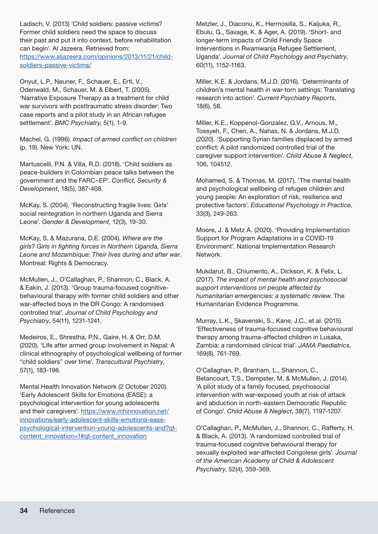Ladisch, V. (2013) 'Child soldiers: passive victims? Former child soldiers need the space to discuss their past and put it into context, before rehabilitation can begin'. Al Jazeera. Retrieved from: [https://www.aljazeera.com/opinions/2013/11/21/child](https://www.aljazeera.com/opinions/2013/11/21/child-soldiers-passive-victims/)[soldiers-passive-victims/](https://www.aljazeera.com/opinions/2013/11/21/child-soldiers-passive-victims/)

Onyut, L.P., Neuner, F., Schauer, E., Ertl, V., Odenwald, M., Schauer, M. & Elbert, T. (2005). 'Narrative Exposure Therapy as a treatment for child war survivors with posttraumatic stress disorder: Two case reports and a pilot study in an African refugee settlement'. *BMC Psychiatry*, 5(1), 1-9.

Machel, G. (1996). *Impact of armed conflict on children* (p. 19). New York: UN.

Martuscelli, P.N. & Villa, R.D. (2018). 'Child soldiers as peace-builders in Colombian peace talks between the government and the FARC–EP'. *Conflict, Security & Development*, 18(5), 387-408.

McKay, S. (2004). 'Reconstructing fragile lives: Girls' social reintegration in northern Uganda and Sierra Leone'. *Gender & Development*, 12(3), 19-30.

McKay, S. & Mazurana, D.E. (2004). *Where are the girls? Girls in fighting forces in Northern Uganda, Sierra Leone and Mozambique: Their lives during and after war*. Montreal: Rights & Democracy.

McMullen, J., O'Callaghan, P., Shannon, C., Black, A. & Eakin, J. (2013). 'Group trauma‐focused cognitive‐ behavioural therapy with former child soldiers and other war-affected boys in the DR Congo: A randomised controlled trial'. *Journal of Child Psychology and Psychiatry*, 54(11), 1231-1241.

Medeiros, E., Shrestha, P.N., Gaire, H. & Orr, D.M. (2020). 'Life after armed group involvement in Nepal: A clinical ethnography of psychological wellbeing of former "child soldiers" over time'. *Transcultural Psychiatry*, 57(1), 183-196.

Mental Health Innovation Network (2 October 2020). 'Early Adolescent Skills for Emotions (EASE): a psychological intervention for young adolescents and their caregivers'. [https://www.mhinnovation.net/](https://www.mhinnovation.net/innovations/early-adolescent-skills-emotions-ease-psychological-intervention-young-adolescents-and?qt-content_innovation=1#qt-content_innovation) [innovations/early-adolescent-skills-emotions-ease](https://www.mhinnovation.net/innovations/early-adolescent-skills-emotions-ease-psychological-intervention-young-adolescents-and?qt-content_innovation=1#qt-content_innovation)[psychological-intervention-young-adolescents-and?qt](https://www.mhinnovation.net/innovations/early-adolescent-skills-emotions-ease-psychological-intervention-young-adolescents-and?qt-content_innovation=1#qt-content_innovation)[content\\_innovation=1#qt-content\\_innovation](https://www.mhinnovation.net/innovations/early-adolescent-skills-emotions-ease-psychological-intervention-young-adolescents-and?qt-content_innovation=1#qt-content_innovation)

Metzler, J., Diaconu, K., Hermosilla, S., Kaijuka, R., Ebulu, G., Savage, K. & Ager, A. (2019). 'Short‐ and longer‐term impacts of Child Friendly Space Interventions in Rwamwanja Refugee Settlement, Uganda'. *Journal of Child Psychology and Psychiatry*, 60(11), 1152-1163.

Miller, K.E. & Jordans, M.J.D. (2016). 'Determinants of children's mental health in war-torn settings: Translating research into action'. *Current Psychiatry Reports*, 18(6), 58.

Miller, K.E., Koppenol-Gonzalez, G.V., Arnous, M., Tossyeh, F., Chen, A., Nahas, N. & Jordans, M.J.D. (2020). 'Supporting Syrian families displaced by armed conflict: A pilot randomized controlled trial of the caregiver support intervention'. *Child Abuse & Neglect*, 106, 104512.

Mohamed, S. & Thomas, M. (2017). 'The mental health and psychological wellbeing of refugee children and young people: An exploration of risk, resilience and protective factors'. *Educational Psychology in Practice*, 33(3), 249-263.

Moore, J. & Metz A. (2020). 'Providing Implementation Support for Program Adaptations in a COVID-19 Environment'. National Implementation Research Network.

Mukdarut, B., Chiumento, A., Dickson, K. & Felix, L. (2017). *The impact of mental health and psychosocial support interventions on people affected by humanitarian emergencies: a systematic review*. The Humanitarian Evidence Programme.

Murray, L.K., Skavenski, S., Kane, J.C., et al. (2015). 'Effectiveness of trauma-focused cognitive behavioural therapy among trauma-affected children in Lusaka, Zambia: a randomised clinical trial'. *JAMA Paediatrics*, 169(8), 761-769.

O'Callaghan, P., Branham, L., Shannon, C., Betancourt, T.S., Dempster, M. & McMullen, J. (2014). 'A pilot study of a family focused, psychosocial intervention with war-exposed youth at risk of attack and abduction in north-eastern Democratic Republic of Congo'. *Child Abuse & Neglect*, 38(7), 1197-1207.

O'Callaghan, P., McMullen, J., Shannon, C., Rafferty, H. & Black, A. (2013). 'A randomized controlled trial of trauma-focused cognitive behavioural therapy for sexually exploited war-affected Congolese girls'. *Journal of the American Academy of Child & Adolescent Psychiatry*, 52(4), 359-369.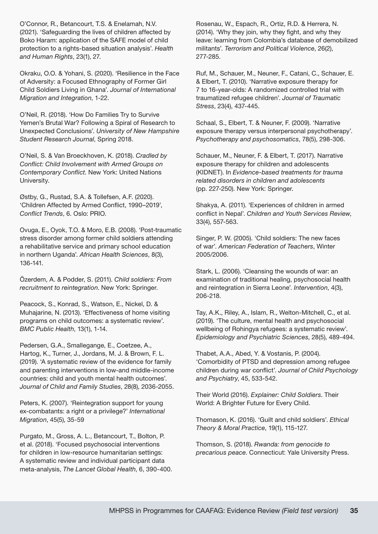O'Connor, R., Betancourt, T.S. & Enelamah, N.V. (2021). 'Safeguarding the lives of children affected by Boko Haram: application of the SAFE model of child protection to a rights-based situation analysis'. *Health and Human Rights*, 23(1), 27.

Okraku, O.O. & Yohani, S. (2020). 'Resilience in the Face of Adversity: a Focused Ethnography of Former Girl Child Soldiers Living in Ghana'. *Journal of International Migration and Integration*, 1-22.

O'Neil, R. (2018). 'How Do Families Try to Survive Yemen's Brutal War? Following a Spiral of Research to Unexpected Conclusions'. *University of New Hampshire Student Research Journal*, Spring 2018.

O'Neil, S. & Van Broeckhoven, K. (2018). *Cradled by Conflict: Child Involvement with Armed Groups on Contemporary Conflict*. New York: United Nations University.

Østby, G., Rustad, S.A. & Tollefsen, A.F. (2020). 'Children Affected by Armed Conflict, 1990–2019', *Conflict Trends*, 6. Oslo: PRIO.

Ovuga, E., Oyok, T.O. & Moro, E.B. (2008). 'Post-traumatic stress disorder among former child soldiers attending a rehabilitative service and primary school education in northern Uganda'. *African Health Sciences*, 8(3), 136-141.

Özerdem, A. & Podder, S. (2011). *Child soldiers: From recruitment to reintegration*. New York: Springer.

Peacock, S., Konrad, S., Watson, E., Nickel, D. & Muhajarine, N. (2013). 'Effectiveness of home visiting programs on child outcomes: a systematic review'. *BMC Public Health*, 13(1), 1-14.

Pedersen, G.A., Smallegange, E., Coetzee, A., Hartog, K., Turner, J., Jordans, M. J. & Brown, F. L. (2019). 'A systematic review of the evidence for family and parenting interventions in low-and middle-income countries: child and youth mental health outcomes'. *Journal of Child and Family Studies*, 28(8), 2036-2055.

Peters, K. (2007). 'Reintegration support for young ex-combatants: a right or a privilege?' *International Migration*, 45(5), 35-59

Purgato, M., Gross, A. L., Betancourt, T., Bolton, P. et al. (2018). 'Focused psychosocial interventions for children in low-resource humanitarian settings: A systematic review and individual participant data meta-analysis, *The Lancet Global Health*, 6, 390-400.

Rosenau, W., Espach, R., Ortiz, R.D. & Herrera, N. (2014). 'Why they join, why they fight, and why they leave: learning from Colombia's database of demobilized militants'. *Terrorism and Political Violence*, 26(2), 277-285.

Ruf, M., Schauer, M., Neuner, F., Catani, C., Schauer, E. & Elbert, T. (2010). 'Narrative exposure therapy for 7 to 16‐year‐olds: A randomized controlled trial with traumatized refugee children'. *Journal of Traumatic Stress*, 23(4), 437-445.

Schaal, S., Elbert, T. & Neuner, F. (2009). 'Narrative exposure therapy versus interpersonal psychotherapy'. *Psychotherapy and psychosomatics*, 78(5), 298-306.

Schauer, M., Neuner, F. & Elbert, T. (2017). Narrative exposure therapy for children and adolescents (KIDNET). In *Evidence-based treatments for trauma related disorders in children and adolescents* (pp. 227-250). New York: Springer.

Shakya, A. (2011). 'Experiences of children in armed conflict in Nepal'. *Children and Youth Services Review*, 33(4), 557-563.

Singer, P. W. (2005). 'Child soldiers: The new faces of war'. *American Federation of Teachers*, Winter 2005/2006.

Stark, L. (2006). 'Cleansing the wounds of war: an examination of traditional healing, psychosocial health and reintegration in Sierra Leone'. *Intervention*, 4(3), 206-218.

Tay, A.K., Riley, A., Islam, R., Welton-Mitchell, C., et al. (2019). 'The culture, mental health and psychosocial wellbeing of Rohingya refugees: a systematic review'. *Epidemiology and Psychiatric Sciences*, 28(5), 489-494.

Thabet, A.A., Abed, Y. & Vostanis, P. (2004). 'Comorbidity of PTSD and depression among refugee children during war conflict'. *Journal of Child Psychology and Psychiatry*, 45, 533-542.

Their World (2016). *Explainer: Child Soldiers*. Their World: A Brighter Future for Every Child.

Thomason, K. (2016). 'Guilt and child soldiers'. *Ethical Theory & Moral Practice*, 19(1), 115-127.

Thomson, S. (2018). *Rwanda: from genocide to precarious peace*. Connecticut: Yale University Press.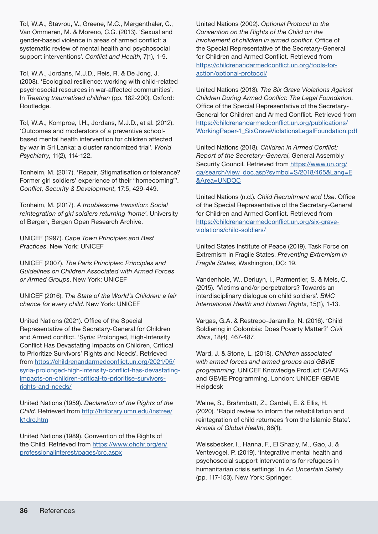Tol, W.A., Stavrou, V., Greene, M.C., Mergenthaler, C., Van Ommeren, M. & Moreno, C.G. (2013). 'Sexual and gender-based violence in areas of armed conflict: a systematic review of mental health and psychosocial support interventions'. *Conflict and Health*, 7(1), 1-9.

Tol, W.A., Jordans, M.J.D., Reis, R. & De Jong, J. (2008). 'Ecological resilience: working with child-related psychosocial resources in war-affected communities'. In *Treating traumatised children* (pp. 182-200). Oxford: Routledge.

Tol, W.A., Komproe, I.H., Jordans, M.J.D., et al. (2012). 'Outcomes and moderators of a preventive schoolbased mental health intervention for children affected by war in Sri Lanka: a cluster randomized trial'. *World Psychiatry*, 11(2), 114-122.

Tonheim, M. (2017). 'Repair, Stigmatisation or tolerance? Former girl soldiers' experience of their "homecoming"'. *Conflict, Security & Development*, 17:5, 429-449.

Tonheim, M. (2017). *A troublesome transition: Social reintegration of girl soldiers returning 'home'*. University of Bergen, Bergen Open Research Archive.

UNICEF (1997). *Cape Town Principles and Best Practices*. New York: UNICEF

UNICEF (2007). *The Paris Principles: Principles and Guidelines on Children Associated with Armed Forces or Armed Groups*. New York: UNICEF

UNICEF (2016). *The State of the World's Children: a fair chance for every child*. New York: UNICEF

United Nations (2021). Office of the Special Representative of the Secretary-General for Children and Armed conflict. 'Syria: Prolonged, High-Intensity Conflict Has Devastating Impacts on Children, Critical to Prioritize Survivors' Rights and Needs'. Retrieved from [https://childrenandarmedconflict.un.org/2021/05/](https://childrenandarmedconflict.un.org/2021/05/syria-prolonged-high-intensity-conflict-has-devastating-impacts-on-children-critical-to-prioritize-survivors-rights-and-needs/) [syria-prolonged-high-intensity-conflict-has-devastating](https://childrenandarmedconflict.un.org/2021/05/syria-prolonged-high-intensity-conflict-has-devastating-impacts-on-children-critical-to-prioritize-survivors-rights-and-needs/)[impacts-on-children-critical-to-prioritise-survivors](https://childrenandarmedconflict.un.org/2021/05/syria-prolonged-high-intensity-conflict-has-devastating-impacts-on-children-critical-to-prioritize-survivors-rights-and-needs/)[rights-and-needs/](https://childrenandarmedconflict.un.org/2021/05/syria-prolonged-high-intensity-conflict-has-devastating-impacts-on-children-critical-to-prioritize-survivors-rights-and-needs/)

United Nations (1959). *Declaration of the Rights of the Child*. Retrieved from [http://hrlibrary.umn.edu/instree/](http://hrlibrary.umn.edu/instree/k1drc.htm) [k1drc.htm](http://hrlibrary.umn.edu/instree/k1drc.htm)

United Nations (1989). Convention of the Rights of the Child. Retrieved from [https://www.ohchr.org/en/](https://www.ohchr.org/en/professionalinterest/pages/crc.aspx) [professionalinterest/pages/crc.aspx](https://www.ohchr.org/en/professionalinterest/pages/crc.aspx)

United Nations (2002). *Optional Protocol to the Convention on the Rights of the Child on the involvement of children in armed conflict*. Office of the Special Representative of the Secretary-General for Children and Armed Conflict. Retrieved from [https://childrenandarmedconflict.un.org/tools-for](https://childrenandarmedconflict.un.org/tools-for-action/optional-protocol/)[action/optional-protocol/](https://childrenandarmedconflict.un.org/tools-for-action/optional-protocol/)

United Nations (2013). *The Six Grave Violations Against Children During Armed Conflict: The Legal Foundation*. Office of the Special Representative of the Secretary-General for Children and Armed Conflict. Retrieved from [https://childrenandarmedconflict.un.org/publications/](https://childrenandarmedconflict.un.org/publications/WorkingPaper-1_SixGraveViolationsLegalFoundation.pdf) [WorkingPaper-1\\_SixGraveViolationsLegalFoundation.pdf](https://childrenandarmedconflict.un.org/publications/WorkingPaper-1_SixGraveViolationsLegalFoundation.pdf)

United Nations (2018). *Children in Armed Conflict: Report of the Secretary-General*, General Assembly Security Council. Retrieved from [https://www.un.org/](https://www.un.org/ga/search/view_doc.asp?symbol=S/2018/465&Lang=E&Area=UNDOC) [ga/search/view\\_doc.asp?symbol=S/2018/465&Lang=E](https://www.un.org/ga/search/view_doc.asp?symbol=S/2018/465&Lang=E&Area=UNDOC) [&Area=UNDOC](https://www.un.org/ga/search/view_doc.asp?symbol=S/2018/465&Lang=E&Area=UNDOC)

United Nations (n.d.). *Child Recruitment and Use*. Office of the Special Representative of the Secretary-General for Children and Armed Conflict. Retrieved from [https://childrenandarmedconflict.un.org/six-grave](https://childrenandarmedconflict.un.org/six-grave-violations/child-soldiers/)[violations/child-soldiers/](https://childrenandarmedconflict.un.org/six-grave-violations/child-soldiers/)

United States Institute of Peace (2019). Task Force on Extremism in Fragile States, *Preventing Extremism in Fragile States*, Washington, DC: 19.

Vandenhole, W., Derluyn, I., Parmentier, S. & Mels, C. (2015). 'Victims and/or perpetrators? Towards an interdisciplinary dialogue on child soldiers'. *BMC International Health and Human Rights*, 15(1), 1-13.

Vargas, G.A. & Restrepo-Jaramillo, N. (2016). 'Child Soldiering in Colombia: Does Poverty Matter?' *Civil Wars*, 18(4), 467-487.

Ward, J. & Stone, L. (2018). *Children associated with armed forces and armed groups and GBViE programming*. UNICEF Knowledge Product: CAAFAG and GBViE Programming. London: UNICEF GBViE Helpdesk

Weine, S., Brahmbatt, Z., Cardeli, E. & Ellis, H. (2020). 'Rapid review to inform the rehabilitation and reintegration of child returnees from the Islamic State'. *Annals of Global Health*, 86(1).

Weissbecker, I., Hanna, F., El Shazly, M., Gao, J. & Ventevogel, P. (2019). 'Integrative mental health and psychosocial support interventions for refugees in humanitarian crisis settings'. In *An Uncertain Safety* (pp. 117-153). New York: Springer.